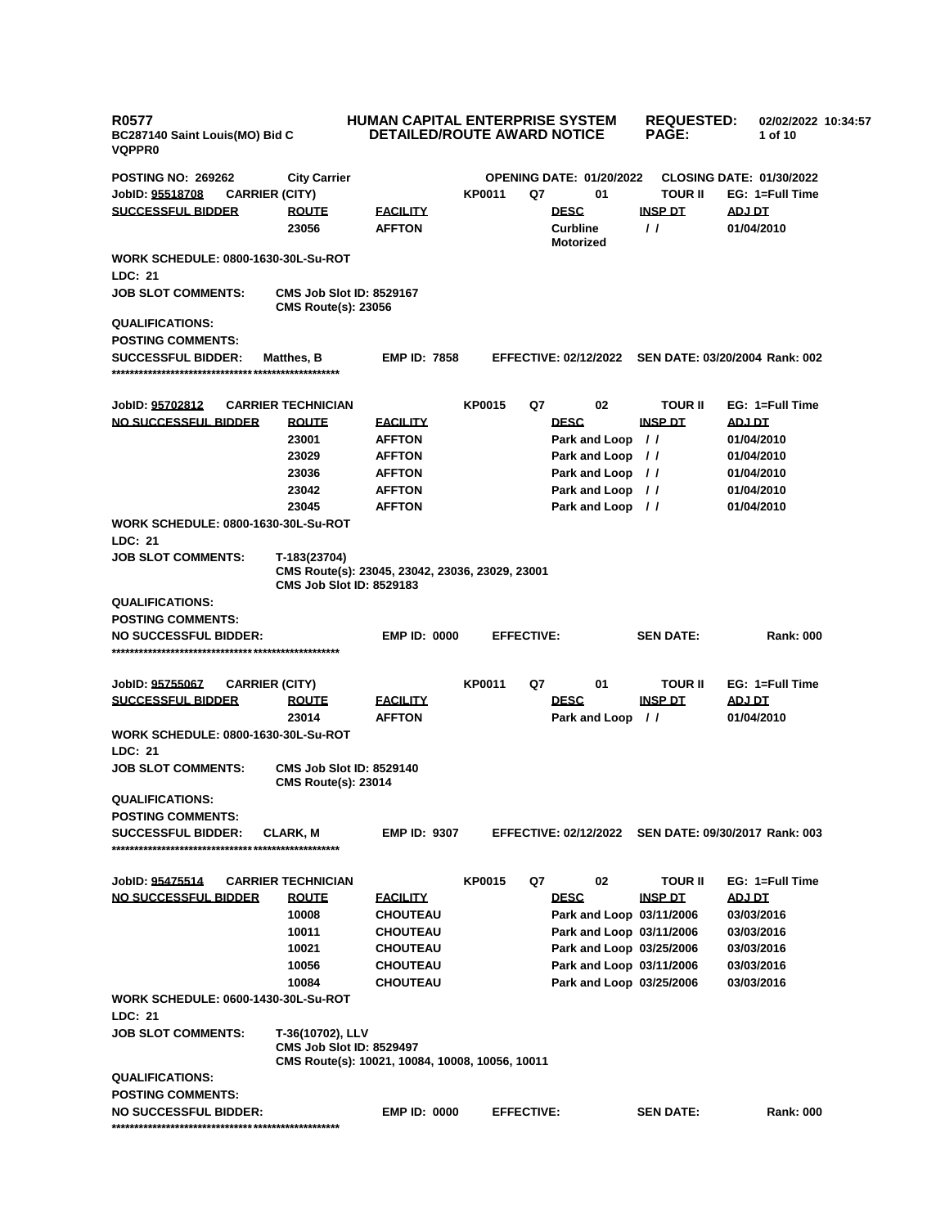| R0577<br>BC287140 Saint Louis(MO) Bid C<br><b>VQPPR0</b> |                                                 | <b>HUMAN CAPITAL ENTERPRISE SYSTEM</b><br><b>DETAILED/ROUTE AWARD NOTICE</b>       |               |                                                      | <b>REQUESTED:</b><br><b>PAGE:</b> | 02/02/2022 10:34:57<br>1 of 10  |  |
|----------------------------------------------------------|-------------------------------------------------|------------------------------------------------------------------------------------|---------------|------------------------------------------------------|-----------------------------------|---------------------------------|--|
| <b>POSTING NO: 269262</b>                                | <b>City Carrier</b>                             |                                                                                    |               | <b>OPENING DATE: 01/20/2022</b>                      |                                   | <b>CLOSING DATE: 01/30/2022</b> |  |
| JobID: <u>95518708</u><br><b>CARRIER (CITY)</b>          |                                                 |                                                                                    | KP0011        | Q7<br>01                                             | <b>TOUR II</b>                    | EG: 1=Full Time                 |  |
| <u>SUCCESSFUL BIDDER</u>                                 | <b>ROUTE</b>                                    | <b>FACILITY</b>                                                                    |               | <b>DESC</b>                                          | <b>INSP DT</b>                    | <b>ADJ DT</b>                   |  |
|                                                          | 23056                                           | <b>AFFTON</b>                                                                      |               | <b>Curbline</b><br><b>Motorized</b>                  | $\prime$                          | 01/04/2010                      |  |
| WORK SCHEDULE: 0800-1630-30L-Su-ROT                      |                                                 |                                                                                    |               |                                                      |                                   |                                 |  |
| LDC: 21                                                  |                                                 |                                                                                    |               |                                                      |                                   |                                 |  |
| <b>JOB SLOT COMMENTS:</b>                                | <b>CMS Route(s): 23056</b>                      | <b>CMS Job Slot ID: 8529167</b>                                                    |               |                                                      |                                   |                                 |  |
| <b>QUALIFICATIONS:</b>                                   |                                                 |                                                                                    |               |                                                      |                                   |                                 |  |
| POSTING COMMENTS:                                        |                                                 |                                                                                    |               |                                                      |                                   |                                 |  |
| <b>SUCCESSFUL BIDDER:</b>                                | <b>Matthes, B</b>                               | <b>EMP ID: 7858</b>                                                                |               | EFFECTIVE: 02/12/2022 SEN DATE: 03/20/2004 Rank: 002 |                                   |                                 |  |
| JobID: <u>95702812</u>                                   | <b>CARRIER TECHNICIAN</b>                       |                                                                                    | <b>KP0015</b> | Q7<br>02                                             | <b>TOUR II</b>                    | EG: 1=Full Time                 |  |
| <u>NO SUCCESSFUL BIDDER</u>                              |                                                 |                                                                                    |               | <b>DESC</b>                                          |                                   |                                 |  |
|                                                          | <b>ROUTE</b>                                    | <b>FACILITY</b>                                                                    |               |                                                      | <u>INSP DT</u>                    | <u>ADJ DT</u>                   |  |
|                                                          | 23001                                           | <b>AFFTON</b>                                                                      |               | Park and Loop //                                     |                                   | 01/04/2010                      |  |
|                                                          | 23029                                           | <b>AFFTON</b>                                                                      |               | Park and Loop //                                     |                                   | 01/04/2010                      |  |
|                                                          | 23036                                           | <b>AFFTON</b>                                                                      |               | Park and Loop //                                     |                                   | 01/04/2010                      |  |
|                                                          | 23042                                           | <b>AFFTON</b>                                                                      |               | Park and Loop //                                     |                                   | 01/04/2010                      |  |
|                                                          | 23045                                           | <b>AFFTON</b>                                                                      |               | Park and Loop //                                     |                                   | 01/04/2010                      |  |
| WORK SCHEDULE: 0800-1630-30L-Su-ROT<br>LDC: 21           |                                                 |                                                                                    |               |                                                      |                                   |                                 |  |
| JOB SLOT COMMENTS:                                       | T-183(23704)<br><b>CMS Job Slot ID: 8529183</b> | CMS Route(s): 23045, 23042, 23036, 23029, 23001                                    |               |                                                      |                                   |                                 |  |
| <b>QUALIFICATIONS:</b>                                   |                                                 |                                                                                    |               |                                                      |                                   |                                 |  |
| <b>POSTING COMMENTS:</b>                                 |                                                 |                                                                                    |               |                                                      |                                   |                                 |  |
| NO SUCCESSFUL BIDDER:                                    |                                                 | <b>EMP ID: 0000</b>                                                                |               | <b>EFFECTIVE:</b>                                    | <b>SEN DATE:</b>                  | <b>Rank: 000</b>                |  |
|                                                          |                                                 |                                                                                    |               |                                                      |                                   |                                 |  |
| JobID: <u>95755067</u><br><b>CARRIER (CITY)</b>          |                                                 |                                                                                    | <b>KP0011</b> | Q7<br>01                                             | <b>TOUR II</b>                    | EG: 1=Full Time                 |  |
| <u>SUCCESSFUL BIDDER</u>                                 |                                                 |                                                                                    |               | <b>DESC</b>                                          | <b>INSP DT</b>                    |                                 |  |
|                                                          | <b>ROUTE</b>                                    | <b>FACILITY</b>                                                                    |               |                                                      |                                   | ADJ DT                          |  |
|                                                          | 23014                                           | <b>AFFTON</b>                                                                      |               | Park and Loop //                                     |                                   | 01/04/2010                      |  |
| WORK SCHEDULE: 0800-1630-30L-Su-ROT                      |                                                 |                                                                                    |               |                                                      |                                   |                                 |  |
| <b>LDC: 21</b>                                           |                                                 |                                                                                    |               |                                                      |                                   |                                 |  |
| JOB SLOT COMMENTS:                                       | <b>CMS Route(s): 23014</b>                      | <b>CMS Job Slot ID: 8529140</b>                                                    |               |                                                      |                                   |                                 |  |
| <b>QUALIFICATIONS:</b>                                   |                                                 |                                                                                    |               |                                                      |                                   |                                 |  |
| POSTING COMMENTS:                                        |                                                 |                                                                                    |               |                                                      |                                   |                                 |  |
| <b>SUCCESSFUL BIDDER:</b>                                | <b>CLARK, M</b>                                 | <b>EMP ID: 9307</b>                                                                |               | EFFECTIVE: 02/12/2022 SEN DATE: 09/30/2017 Rank: 003 |                                   |                                 |  |
|                                                          |                                                 |                                                                                    |               |                                                      |                                   |                                 |  |
| JobID: <u>95475514</u>                                   | <b>CARRIER TECHNICIAN</b>                       |                                                                                    | <b>KP0015</b> | Q7<br>02                                             | <b>TOUR II</b>                    | EG: 1=Full Time                 |  |
| <u>NO SUCCESSFUL BIDDER</u>                              | <b>ROUTE</b>                                    | <b>FACILITY</b>                                                                    |               | <b>DESC</b>                                          | <b>INSP DT</b>                    | ADJ DT                          |  |
|                                                          | 10008                                           | <b>CHOUTEAU</b>                                                                    |               | Park and Loop 03/11/2006                             |                                   | 03/03/2016                      |  |
|                                                          | 10011                                           | <b>CHOUTEAU</b>                                                                    |               | Park and Loop 03/11/2006                             |                                   | 03/03/2016                      |  |
|                                                          | 10021                                           | <b>CHOUTEAU</b>                                                                    |               | Park and Loop 03/25/2006                             |                                   | 03/03/2016                      |  |
|                                                          | 10056                                           | <b>CHOUTEAU</b>                                                                    |               | Park and Loop 03/11/2006                             |                                   | 03/03/2016                      |  |
|                                                          | 10084                                           | <b>CHOUTEAU</b>                                                                    |               | Park and Loop 03/25/2006                             |                                   | 03/03/2016                      |  |
| WORK SCHEDULE: 0600-1430-30L-Su-ROT<br>LDC: 21           |                                                 |                                                                                    |               |                                                      |                                   |                                 |  |
|                                                          |                                                 |                                                                                    |               |                                                      |                                   |                                 |  |
| JOB SLOT COMMENTS:                                       | T-36(10702), LLV                                | <b>CMS Job Slot ID: 8529497</b><br>CMS Route(s): 10021, 10084, 10008, 10056, 10011 |               |                                                      |                                   |                                 |  |
| <b>QUALIFICATIONS:</b>                                   |                                                 |                                                                                    |               |                                                      |                                   |                                 |  |
| POSTING COMMENTS:                                        |                                                 |                                                                                    |               |                                                      |                                   |                                 |  |
| NO SUCCESSFUL BIDDER:                                    |                                                 | <b>EMP ID: 0000</b>                                                                |               | <b>EFFECTIVE:</b>                                    | <b>SEN DATE:</b>                  | <b>Rank: 000</b>                |  |
|                                                          |                                                 |                                                                                    |               |                                                      |                                   |                                 |  |
|                                                          |                                                 |                                                                                    |               |                                                      |                                   |                                 |  |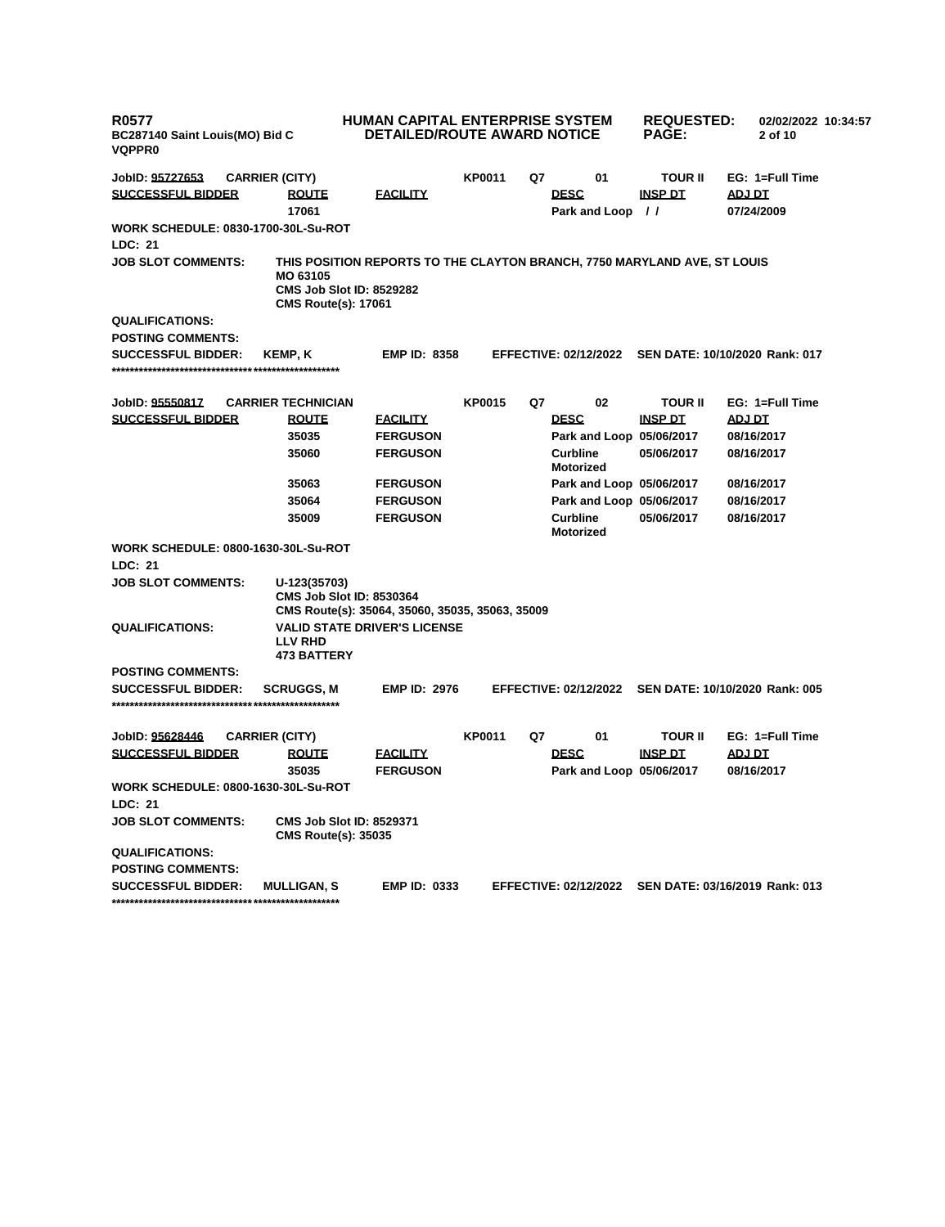| <b>R0577</b><br>BC287140 Saint Louis(MO) Bid C<br><b>VQPPR0</b> |                                                                                                                                                       | HUMAN CAPITAL ENTERPRISE SYSTEM<br><b>DETAILED/ROUTE AWARD NOTICE</b> |               |    | <b>REQUESTED:</b><br><b>PAGE:</b>   | 02/02/2022 10:34:57<br>2 of 10 |                                |
|-----------------------------------------------------------------|-------------------------------------------------------------------------------------------------------------------------------------------------------|-----------------------------------------------------------------------|---------------|----|-------------------------------------|--------------------------------|--------------------------------|
| JobID: 95727653                                                 | <b>CARRIER (CITY)</b>                                                                                                                                 |                                                                       | <b>KP0011</b> | Q7 | 01                                  | <b>TOUR II</b>                 | EG: 1=Full Time                |
| <b>SUCCESSFUL BIDDER</b>                                        | <b>ROUTE</b>                                                                                                                                          | <u>FACILITY</u>                                                       |               |    | <b>DESC</b>                         | <b>INSP DT</b>                 | <b>ADJ DT</b>                  |
|                                                                 | 17061                                                                                                                                                 |                                                                       |               |    | Park and Loop //                    |                                | 07/24/2009                     |
| <b>WORK SCHEDULE: 0830-1700-30L-Su-ROT</b>                      |                                                                                                                                                       |                                                                       |               |    |                                     |                                |                                |
| <b>LDC: 21</b>                                                  |                                                                                                                                                       |                                                                       |               |    |                                     |                                |                                |
| <b>JOB SLOT COMMENTS:</b>                                       | THIS POSITION REPORTS TO THE CLAYTON BRANCH, 7750 MARYLAND AVE, ST LOUIS<br>MO 63105<br><b>CMS Job Slot ID: 8529282</b><br><b>CMS Route(s): 17061</b> |                                                                       |               |    |                                     |                                |                                |
| <b>QUALIFICATIONS:</b>                                          |                                                                                                                                                       |                                                                       |               |    |                                     |                                |                                |
| <b>POSTING COMMENTS:</b>                                        |                                                                                                                                                       |                                                                       |               |    |                                     |                                |                                |
| <b>SUCCESSFUL BIDDER:</b>                                       | KEMP, K                                                                                                                                               | <b>EMP ID: 8358</b>                                                   |               |    | <b>EFFECTIVE: 02/12/2022</b>        |                                | SEN DATE: 10/10/2020 Rank: 017 |
| JobID: 95550817                                                 | <b>CARRIER TECHNICIAN</b>                                                                                                                             |                                                                       | <b>KP0015</b> | Q7 | 02                                  | <b>TOUR II</b>                 | EG: 1=Full Time                |
| <b>SUCCESSFUL BIDDER</b>                                        | <b>ROUTE</b>                                                                                                                                          | <b>FACILITY</b>                                                       |               |    | <b>DESC</b>                         | <b>INSP DT</b>                 | <b>ADJ DT</b>                  |
|                                                                 | 35035                                                                                                                                                 | <b>FERGUSON</b>                                                       |               |    | Park and Loop 05/06/2017            |                                | 08/16/2017                     |
|                                                                 | 35060                                                                                                                                                 | <b>FERGUSON</b>                                                       |               |    | <b>Curbline</b><br><b>Motorized</b> | 05/06/2017                     | 08/16/2017                     |
|                                                                 | 35063                                                                                                                                                 | <b>FERGUSON</b>                                                       |               |    | Park and Loop 05/06/2017            |                                | 08/16/2017                     |
|                                                                 | 35064                                                                                                                                                 | <b>FERGUSON</b>                                                       |               |    | Park and Loop 05/06/2017            |                                | 08/16/2017                     |
|                                                                 | 35009                                                                                                                                                 | <b>FERGUSON</b>                                                       |               |    | <b>Curbline</b><br><b>Motorized</b> | 05/06/2017                     | 08/16/2017                     |
| <b>WORK SCHEDULE: 0800-1630-30L-Su-ROT</b>                      |                                                                                                                                                       |                                                                       |               |    |                                     |                                |                                |
| <b>LDC: 21</b>                                                  |                                                                                                                                                       |                                                                       |               |    |                                     |                                |                                |
| <b>JOB SLOT COMMENTS:</b>                                       | U-123(35703)<br><b>CMS Job Slot ID: 8530364</b><br>CMS Route(s): 35064, 35060, 35035, 35063, 35009                                                    |                                                                       |               |    |                                     |                                |                                |
| <b>QUALIFICATIONS:</b>                                          | <b>VALID STATE DRIVER'S LICENSE</b><br><b>LLV RHD</b><br><b>473 BATTERY</b>                                                                           |                                                                       |               |    |                                     |                                |                                |
| <b>POSTING COMMENTS:</b>                                        |                                                                                                                                                       |                                                                       |               |    |                                     |                                |                                |
| <b>SUCCESSFUL BIDDER:</b>                                       | <b>SCRUGGS, M</b>                                                                                                                                     | <b>EMP ID: 2976</b>                                                   |               |    | <b>EFFECTIVE: 02/12/2022</b>        |                                | SEN DATE: 10/10/2020 Rank: 005 |
| JobID: 95628446                                                 | <b>CARRIER (CITY)</b>                                                                                                                                 |                                                                       | <b>KP0011</b> | Q7 | 01                                  | <b>TOUR II</b>                 | EG: 1=Full Time                |
| <b>SUCCESSFUL BIDDER</b>                                        | <b>ROUTE</b>                                                                                                                                          | <u>FACILITY</u>                                                       |               |    | <b>DESC</b>                         | <b>INSP DT</b>                 | ADJ DT                         |
|                                                                 | 35035                                                                                                                                                 | <b>FERGUSON</b>                                                       |               |    | Park and Loop 05/06/2017            |                                | 08/16/2017                     |
| <b>WORK SCHEDULE: 0800-1630-30L-Su-ROT</b>                      |                                                                                                                                                       |                                                                       |               |    |                                     |                                |                                |
| LDC: 21                                                         |                                                                                                                                                       |                                                                       |               |    |                                     |                                |                                |
| <b>JOB SLOT COMMENTS:</b>                                       | <b>CMS Job Slot ID: 8529371</b><br><b>CMS Route(s): 35035</b>                                                                                         |                                                                       |               |    |                                     |                                |                                |
| <b>QUALIFICATIONS:</b>                                          |                                                                                                                                                       |                                                                       |               |    |                                     |                                |                                |
| <b>POSTING COMMENTS:</b>                                        |                                                                                                                                                       |                                                                       |               |    |                                     |                                |                                |
| <b>SUCCESSFUL BIDDER:</b>                                       | <b>MULLIGAN, S</b>                                                                                                                                    | <b>EMP ID: 0333</b>                                                   |               |    | <b>EFFECTIVE: 02/12/2022</b>        |                                | SEN DATE: 03/16/2019 Rank: 013 |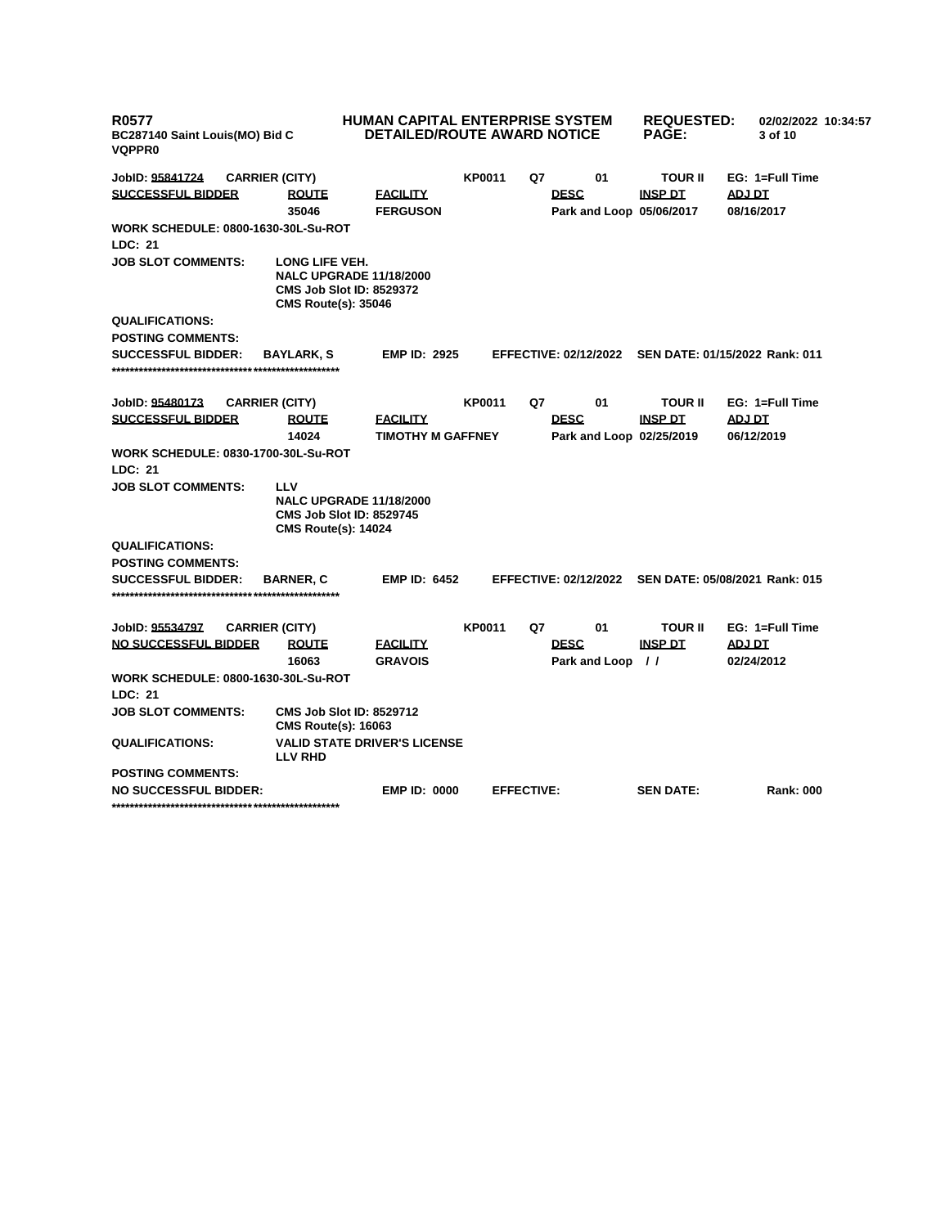| <b>R0577</b><br>BC287140 Saint Louis(MO) Bid C<br><b>VQPPR0</b> |                       |                                                                                 | HUMAN CAPITAL ENTERPRISE SYSTEM<br><b>DETAILED/ROUTE AWARD NOTICE</b> |               |                   |                                         | <b>REQUESTED:</b><br><b>PAGE:</b> | 02/02/2022 10:34:57<br>3 of 10                       |
|-----------------------------------------------------------------|-----------------------|---------------------------------------------------------------------------------|-----------------------------------------------------------------------|---------------|-------------------|-----------------------------------------|-----------------------------------|------------------------------------------------------|
| JobID: 95841724                                                 | <b>CARRIER (CITY)</b> |                                                                                 |                                                                       | <b>KP0011</b> | Q7                | 01                                      | <b>TOUR II</b>                    | EG: 1=Full Time                                      |
| <b>SUCCESSFUL BIDDER</b>                                        |                       | <b>ROUTE</b>                                                                    | <b>FACILITY</b>                                                       |               |                   | <b>DESC</b>                             | <b>INSP DT</b>                    | ADJ DT                                               |
|                                                                 |                       | 35046                                                                           | <b>FERGUSON</b>                                                       |               |                   | Park and Loop 05/06/2017                |                                   | 08/16/2017                                           |
| WORK SCHEDULE: 0800-1630-30L-Su-ROT                             |                       |                                                                                 |                                                                       |               |                   |                                         |                                   |                                                      |
| LDC: 21                                                         |                       |                                                                                 |                                                                       |               |                   |                                         |                                   |                                                      |
| <b>JOB SLOT COMMENTS:</b>                                       |                       | LONG LIFE VEH.<br><b>CMS Job Slot ID: 8529372</b><br><b>CMS Route(s): 35046</b> | <b>NALC UPGRADE 11/18/2000</b>                                        |               |                   |                                         |                                   |                                                      |
| <b>QUALIFICATIONS:</b>                                          |                       |                                                                                 |                                                                       |               |                   |                                         |                                   |                                                      |
| <b>POSTING COMMENTS:</b>                                        |                       |                                                                                 |                                                                       |               |                   |                                         |                                   |                                                      |
| <b>SUCCESSFUL BIDDER:</b>                                       |                       | <b>BAYLARK, S</b>                                                               | <b>EMP ID: 2925</b>                                                   |               |                   |                                         |                                   | EFFECTIVE: 02/12/2022 SEN DATE: 01/15/2022 Rank: 011 |
| JobID: 95480173                                                 | <b>CARRIER (CITY)</b> |                                                                                 |                                                                       | <b>KP0011</b> | Q7                | 01                                      | <b>TOUR II</b>                    | EG: 1=Full Time                                      |
| <b>SUCCESSFUL BIDDER</b>                                        |                       | <b>ROUTE</b><br>14024                                                           | <b>FACILITY</b><br><b>TIMOTHY M GAFFNEY</b>                           |               |                   | <b>DESC</b><br>Park and Loop 02/25/2019 | <b>INSP DT</b>                    | <b>ADJ DT</b><br>06/12/2019                          |
| WORK SCHEDULE: 0830-1700-30L-Su-ROT                             |                       |                                                                                 |                                                                       |               |                   |                                         |                                   |                                                      |
| <b>LDC: 21</b>                                                  |                       |                                                                                 |                                                                       |               |                   |                                         |                                   |                                                      |
| <b>JOB SLOT COMMENTS:</b>                                       |                       | LLV<br><b>CMS Job Slot ID: 8529745</b><br><b>CMS Route(s): 14024</b>            | <b>NALC UPGRADE 11/18/2000</b>                                        |               |                   |                                         |                                   |                                                      |
| <b>QUALIFICATIONS:</b>                                          |                       |                                                                                 |                                                                       |               |                   |                                         |                                   |                                                      |
| <b>POSTING COMMENTS:</b>                                        |                       |                                                                                 |                                                                       |               |                   |                                         |                                   |                                                      |
| <b>SUCCESSFUL BIDDER:</b>                                       |                       | <b>BARNER, C</b>                                                                | <b>EMP ID: 6452</b>                                                   |               |                   |                                         |                                   | EFFECTIVE: 02/12/2022 SEN DATE: 05/08/2021 Rank: 015 |
| JobID: 95534797                                                 | <b>CARRIER (CITY)</b> |                                                                                 |                                                                       | <b>KP0011</b> | Q7                | 01                                      | <b>TOUR II</b>                    | EG: 1=Full Time                                      |
| <b>NO SUCCESSFUL BIDDER</b>                                     |                       | <b>ROUTE</b><br>16063                                                           | <b>FACILITY</b><br><b>GRAVOIS</b>                                     |               |                   | <b>DESC</b><br>Park and Loop //         | <b>INSP DT</b>                    | <b>ADJ DT</b><br>02/24/2012                          |
| <b>WORK SCHEDULE: 0800-1630-30L-Su-ROT</b>                      |                       |                                                                                 |                                                                       |               |                   |                                         |                                   |                                                      |
| LDC: 21                                                         |                       |                                                                                 |                                                                       |               |                   |                                         |                                   |                                                      |
| <b>JOB SLOT COMMENTS:</b>                                       |                       | <b>CMS Job Slot ID: 8529712</b><br><b>CMS Route(s): 16063</b>                   |                                                                       |               |                   |                                         |                                   |                                                      |
| <b>QUALIFICATIONS:</b>                                          |                       | <b>LLV RHD</b>                                                                  | <b>VALID STATE DRIVER'S LICENSE</b>                                   |               |                   |                                         |                                   |                                                      |
| <b>POSTING COMMENTS:</b>                                        |                       |                                                                                 |                                                                       |               |                   |                                         |                                   |                                                      |
| <b>NO SUCCESSFUL BIDDER:</b>                                    |                       |                                                                                 | <b>EMP ID: 0000</b>                                                   |               | <b>EFFECTIVE:</b> |                                         | <b>SEN DATE:</b>                  | <b>Rank: 000</b>                                     |
|                                                                 |                       |                                                                                 |                                                                       |               |                   |                                         |                                   |                                                      |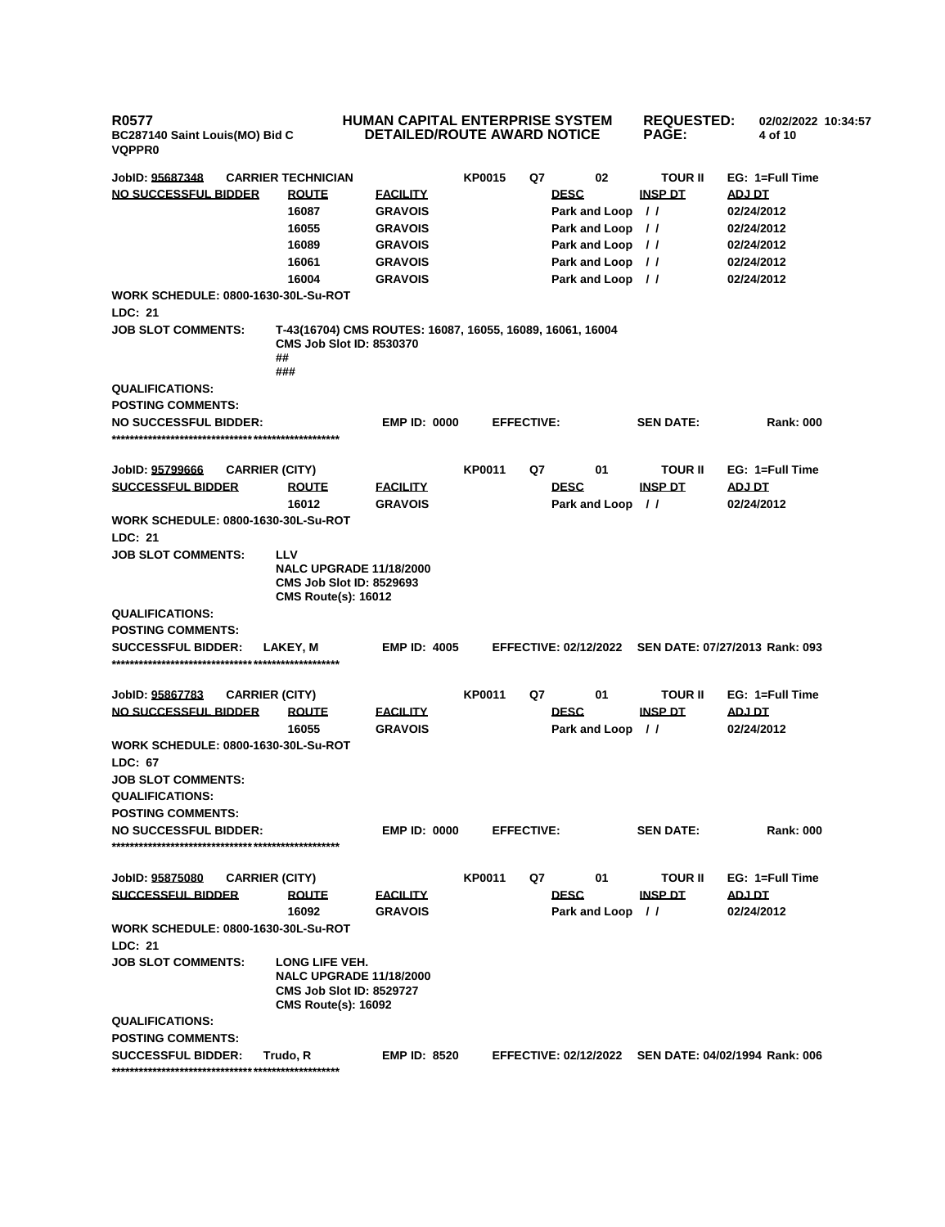**R0577 BC287140 Saint Louis(MO) Bid C VQPPR0**

## **HUMAN CAPITAL ENTERPRISE SYSTEM DETAILED/ROUTE AWARD NOTICE**

**REQUESTED: PAGE:**

**02/02/2022 10:34:57**

**4 of 10** 

**JobID: 95687348 CARRIER TECHNICIAN KP0015 Q7 02 TOUR II EG: 1=Full Time NO SUCCESSFUL BIDDER ROUTE FACILITY DESC INSP DT ADJ DT 16087 GRAVOIS Park and Loop / / 02/24/2012 16055 GRAVOIS Park and Loop / / 02/24/2012 16089 GRAVOIS Park and Loop / / 02/24/2012 16061 GRAVOIS Park and Loop / / 02/24/2012 16004 GRAVOIS Park and Loop / / 02/24/2012 WORK SCHEDULE: 0800-1630-30L-Su-ROT LDC: 21 JOB SLOT COMMENTS: T-43(16704) CMS ROUTES: 16087, 16055, 16089, 16061, 16004 CMS Job Slot ID: 8530370 ## ### QUALIFICATIONS: POSTING COMMENTS: NO SUCCESSFUL BIDDER: EMP ID: 0000 EFFECTIVE: SEN DATE: Rank: 000 \*\*\*\*\*\*\*\*\*\*\*\*\*\*\*\*\*\*\*\*\*\*\*\*\*\*\*\*\*\*\*\*\*\*\*\*\*\*\*\*\*\*\*\*\*\*\*\*\*\* JobID: 95799666 CARRIER (CITY) KP0011 Q7 01 TOUR II EG: 1=Full Time SUCCESSFUL BIDDER ROUTE FACILITY DESC INSP DT ADJ DT 16012 GRAVOIS Park and Loop / / 02/24/2012 WORK SCHEDULE: 0800-1630-30L-Su-ROT LDC: 21 JOB SLOT COMMENTS: LLV NALC UPGRADE 11/18/2000 CMS Job Slot ID: 8529693 CMS Route(s): 16012 QUALIFICATIONS: POSTING COMMENTS: SUCCESSFUL BIDDER: LAKEY, M EMP ID: 4005 EFFECTIVE: 02/12/2022 SEN DATE: 07/27/2013 Rank: 093 \*\*\*\*\*\*\*\*\*\*\*\*\*\*\*\*\*\*\*\*\*\*\*\*\*\*\*\*\*\*\*\*\*\*\*\*\*\*\*\*\*\*\*\*\*\*\*\*\*\* JobID: 95867783 CARRIER (CITY) KP0011 Q7 01 TOUR II EG: 1=Full Time NO SUCCESSFUL BIDDER ROUTE FACILITY DESC INSP DT ADJ DT 16055 GRAVOIS Park and Loop / / 02/24/2012 WORK SCHEDULE: 0800-1630-30L-Su-ROT LDC: 67 JOB SLOT COMMENTS: QUALIFICATIONS: POSTING COMMENTS: NO SUCCESSFUL BIDDER: EMP ID: 0000 EFFECTIVE: SEN DATE: Rank: 000 \*\*\*\*\*\*\*\*\*\*\*\*\*\*\*\*\*\*\*\*\*\*\*\*\*\*\*\*\*\*\*\*\*\*\*\*\*\*\*\*\*\*\*\*\*\*\*\*\*\* JobID: 95875080 CARRIER (CITY) KP0011 Q7 01 TOUR II EG: 1=Full Time SUCCESSFUL BIDDER ROUTE FACILITY DESC INSP DT ADJ DT 16092 GRAVOIS Park and Loop / / 02/24/2012 WORK SCHEDULE: 0800-1630-30L-Su-ROT LDC: 21 JOB SLOT COMMENTS: LONG LIFE VEH. NALC UPGRADE 11/18/2000 CMS Job Slot ID: 8529727 CMS Route(s): 16092 QUALIFICATIONS: POSTING COMMENTS: SUCCESSFUL BIDDER: Trudo, R EMP ID: 8520 EFFECTIVE: 02/12/2022 SEN DATE: 04/02/1994 Rank: 006 \*\*\*\*\*\*\*\*\*\*\*\*\*\*\*\*\*\*\*\*\*\*\*\*\*\*\*\*\*\*\*\*\*\*\*\*\*\*\*\*\*\*\*\*\*\*\*\*\*\***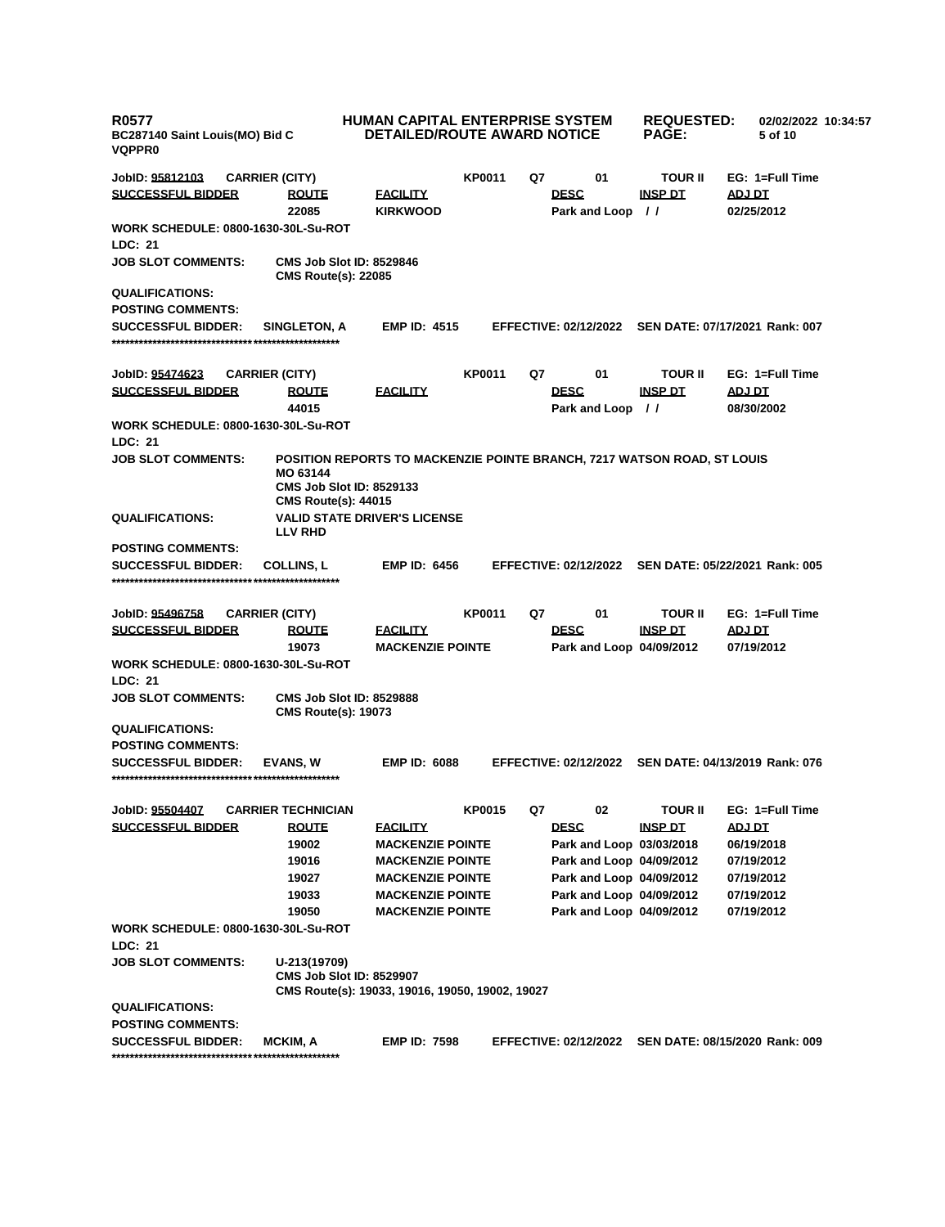| <b>R0577</b><br>BC287140 Saint Louis(MO) Bid C<br><b>VQPPR0</b> |                                                                           | <b>HUMAN CAPITAL ENTERPRISE SYSTEM</b><br><b>DETAILED/ROUTE AWARD NOTICE</b> |               |    | <b>REQUESTED:</b><br><b>PAGE:</b>       | 02/02/2022 10:34:57<br>5 of 10 |                                |
|-----------------------------------------------------------------|---------------------------------------------------------------------------|------------------------------------------------------------------------------|---------------|----|-----------------------------------------|--------------------------------|--------------------------------|
| JobID: 95812103                                                 | <b>CARRIER (CITY)</b>                                                     |                                                                              | <b>KP0011</b> | Q7 | 01                                      | <b>TOUR II</b>                 | EG: 1=Full Time                |
| <b>SUCCESSFUL BIDDER</b>                                        | <b>ROUTE</b><br>22085                                                     | <b>FACILITY</b><br><b>KIRKWOOD</b>                                           |               |    | <b>DESC</b><br>Park and Loop //         | <b>INSP DT</b>                 | ADJ DT<br>02/25/2012           |
| <b>WORK SCHEDULE: 0800-1630-30L-Su-ROT</b>                      |                                                                           |                                                                              |               |    |                                         |                                |                                |
| <b>LDC: 21</b>                                                  |                                                                           |                                                                              |               |    |                                         |                                |                                |
| <b>JOB SLOT COMMENTS:</b>                                       | <b>CMS Job Slot ID: 8529846</b><br><b>CMS Route(s): 22085</b>             |                                                                              |               |    |                                         |                                |                                |
| <b>QUALIFICATIONS:</b>                                          |                                                                           |                                                                              |               |    |                                         |                                |                                |
| <b>POSTING COMMENTS:</b>                                        |                                                                           |                                                                              |               |    |                                         |                                |                                |
| <b>SUCCESSFUL BIDDER:</b>                                       | <b>SINGLETON, A</b>                                                       | <b>EMP ID: 4515</b>                                                          |               |    | <b>EFFECTIVE: 02/12/2022</b>            |                                | SEN DATE: 07/17/2021 Rank: 007 |
| JobID: <u>95474623</u>                                          | <b>CARRIER (CITY)</b>                                                     |                                                                              | <b>KP0011</b> | Q7 | 01                                      | <b>TOUR II</b>                 | EG: 1=Full Time                |
| <b>SUCCESSFUL BIDDER</b>                                        | <b>ROUTE</b><br>44015                                                     | <b>FACILITY</b>                                                              |               |    | <b>DESC</b><br>Park and Loop //         | <b>INSP DT</b>                 | <u>ADJ DT</u><br>08/30/2002    |
| <b>WORK SCHEDULE: 0800-1630-30L-Su-ROT</b><br><b>LDC: 21</b>    |                                                                           |                                                                              |               |    |                                         |                                |                                |
| <b>JOB SLOT COMMENTS:</b>                                       | MO 63144<br><b>CMS Job Slot ID: 8529133</b><br><b>CMS Route(s): 44015</b> | POSITION REPORTS TO MACKENZIE POINTE BRANCH, 7217 WATSON ROAD, ST LOUIS      |               |    |                                         |                                |                                |
| <b>QUALIFICATIONS:</b>                                          | <b>LLV RHD</b>                                                            | <b>VALID STATE DRIVER'S LICENSE</b>                                          |               |    |                                         |                                |                                |
| <b>POSTING COMMENTS:</b>                                        |                                                                           |                                                                              |               |    |                                         |                                |                                |
| <b>SUCCESSFUL BIDDER:</b>                                       | <b>COLLINS, L</b>                                                         | <b>EMP ID: 6456</b>                                                          |               |    | <b>EFFECTIVE: 02/12/2022</b>            |                                | SEN DATE: 05/22/2021 Rank: 005 |
| JobID: <u>95496758</u>                                          | <b>CARRIER (CITY)</b>                                                     |                                                                              | <b>KP0011</b> | Q7 | 01                                      | <b>TOUR II</b>                 | EG: 1=Full Time                |
| <b>SUCCESSFUL BIDDER</b>                                        | <b>ROUTE</b><br>19073                                                     | <b>FACILITY</b><br><b>MACKENZIE POINTE</b>                                   |               |    | <b>DESC</b><br>Park and Loop 04/09/2012 | <b>INSP DT</b>                 | <b>ADJ DT</b><br>07/19/2012    |
| WORK SCHEDULE: 0800-1630-30L-Su-ROT<br><b>LDC: 21</b>           |                                                                           |                                                                              |               |    |                                         |                                |                                |
| <b>JOB SLOT COMMENTS:</b>                                       | <b>CMS Job Slot ID: 8529888</b><br><b>CMS Route(s): 19073</b>             |                                                                              |               |    |                                         |                                |                                |
| <b>QUALIFICATIONS:</b>                                          |                                                                           |                                                                              |               |    |                                         |                                |                                |
| <b>POSTING COMMENTS:</b>                                        |                                                                           |                                                                              |               |    |                                         |                                |                                |
| <b>SUCCESSFUL BIDDER:</b>                                       | <b>EVANS. W</b>                                                           | <b>EMP ID: 6088</b>                                                          |               |    | <b>EFFECTIVE: 02/12/2022</b>            |                                | SEN DATE: 04/13/2019 Rank: 076 |
| JobID: 95504407                                                 | <b>CARRIER TECHNICIAN</b>                                                 |                                                                              | KP0015        | Q7 | 02                                      | <b>TOUR II</b>                 | EG: 1=Full Time                |
| <b>SUCCESSFUL BIDDER</b>                                        | <b>ROUTE</b>                                                              | <b>FACILITY</b>                                                              |               |    | <b>DESC</b>                             | <b>INSP DT</b>                 | ADJ DT                         |
|                                                                 | 19002                                                                     | <b>MACKENZIE POINTE</b>                                                      |               |    | Park and Loop 03/03/2018                |                                | 06/19/2018                     |
|                                                                 | 19016                                                                     | <b>MACKENZIE POINTE</b>                                                      |               |    | Park and Loop 04/09/2012                |                                | 07/19/2012                     |
|                                                                 | 19027                                                                     | <b>MACKENZIE POINTE</b>                                                      |               |    | Park and Loop 04/09/2012                |                                | 07/19/2012                     |
|                                                                 | 19033                                                                     | <b>MACKENZIE POINTE</b>                                                      |               |    | Park and Loop 04/09/2012                |                                | 07/19/2012                     |
|                                                                 | 19050                                                                     | <b>MACKENZIE POINTE</b>                                                      |               |    | Park and Loop 04/09/2012                |                                | 07/19/2012                     |
| WORK SCHEDULE: 0800-1630-30L-Su-ROT                             |                                                                           |                                                                              |               |    |                                         |                                |                                |
| LDC: 21                                                         |                                                                           |                                                                              |               |    |                                         |                                |                                |
| <b>JOB SLOT COMMENTS:</b>                                       | U-213(19709)<br><b>CMS Job Slot ID: 8529907</b>                           | CMS Route(s): 19033, 19016, 19050, 19002, 19027                              |               |    |                                         |                                |                                |
| <b>QUALIFICATIONS:</b>                                          |                                                                           |                                                                              |               |    |                                         |                                |                                |
| <b>POSTING COMMENTS:</b>                                        |                                                                           |                                                                              |               |    |                                         |                                |                                |
| <b>SUCCESSFUL BIDDER:</b>                                       | MCKIM, A                                                                  | <b>EMP ID: 7598</b>                                                          |               |    | <b>EFFECTIVE: 02/12/2022</b>            |                                | SEN DATE: 08/15/2020 Rank: 009 |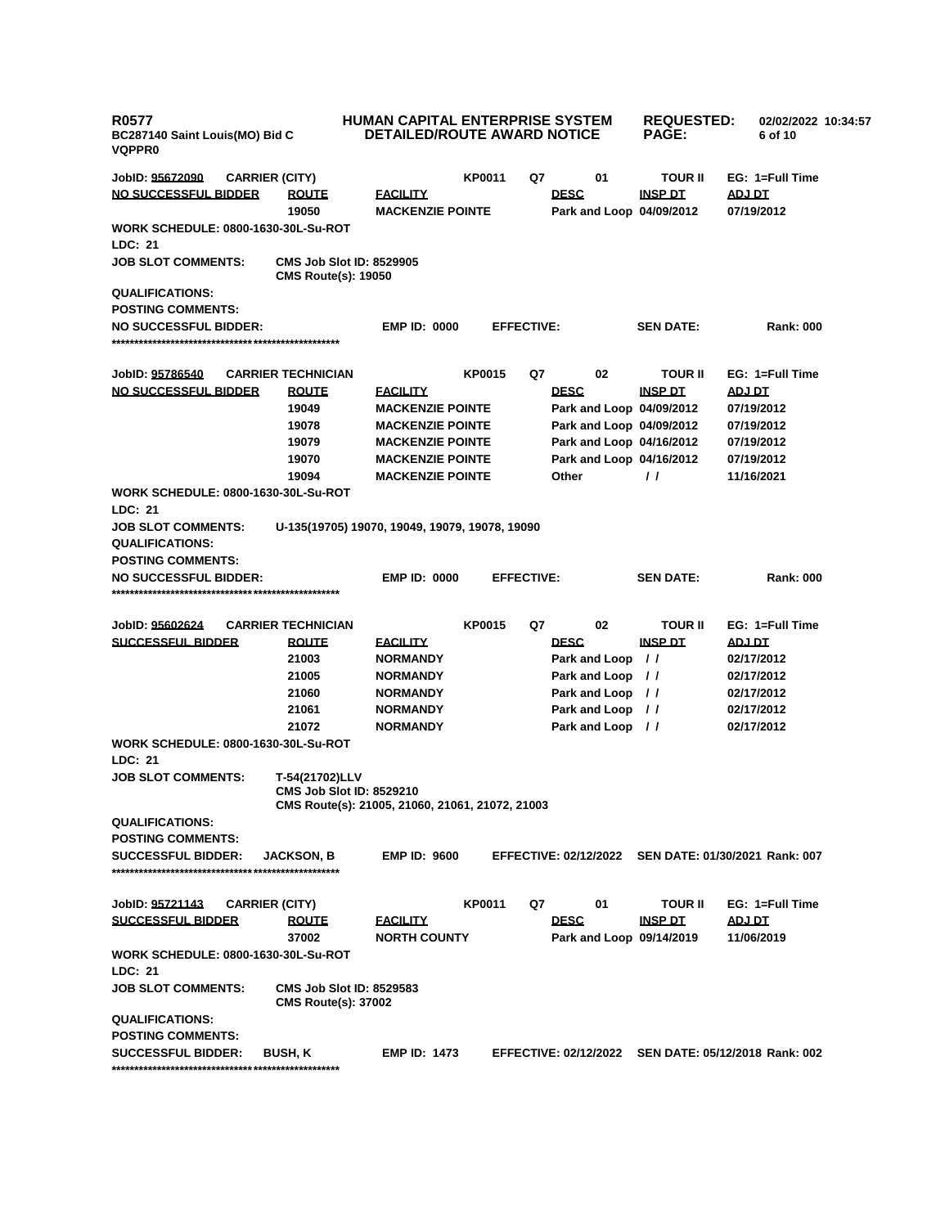| <b>R0577</b><br>BC287140 Saint Louis(MO) Bid C<br><b>VQPPR0</b> |  |                                                                                                      | <b>HUMAN CAPITAL ENTERPRISE SYSTEM</b><br><b>DETAILED/ROUTE AWARD NOTICE</b> |               |                   |                  |                          | <b>REQUESTED:</b><br>02/02/2022 10:34:57<br>6 of 10  |  |
|-----------------------------------------------------------------|--|------------------------------------------------------------------------------------------------------|------------------------------------------------------------------------------|---------------|-------------------|------------------|--------------------------|------------------------------------------------------|--|
| JobID: 95672090                                                 |  | <b>CARRIER (CITY)</b>                                                                                |                                                                              | <b>KP0011</b> | Q7                | 01               | <b>TOUR II</b>           | EG: 1=Full Time                                      |  |
| <b>NO SUCCESSFUL BIDDER</b>                                     |  | <b>ROUTE</b>                                                                                         | <b>FACILITY</b>                                                              |               |                   | <b>DESC</b>      | <b>INSP DT</b>           | ADJ DT                                               |  |
|                                                                 |  | 19050                                                                                                | <b>MACKENZIE POINTE</b>                                                      |               |                   |                  | Park and Loop 04/09/2012 | 07/19/2012                                           |  |
| WORK SCHEDULE: 0800-1630-30L-Su-ROT                             |  |                                                                                                      |                                                                              |               |                   |                  |                          |                                                      |  |
| <b>LDC: 21</b>                                                  |  |                                                                                                      |                                                                              |               |                   |                  |                          |                                                      |  |
| <b>JOB SLOT COMMENTS:</b>                                       |  | <b>CMS Job Slot ID: 8529905</b><br><b>CMS Route(s): 19050</b>                                        |                                                                              |               |                   |                  |                          |                                                      |  |
| <b>QUALIFICATIONS:</b>                                          |  |                                                                                                      |                                                                              |               |                   |                  |                          |                                                      |  |
| <b>POSTING COMMENTS:</b><br><b>NO SUCCESSFUL BIDDER:</b>        |  |                                                                                                      | <b>EMP ID: 0000</b>                                                          |               | <b>EFFECTIVE:</b> |                  | <b>SEN DATE:</b>         | <b>Rank: 000</b>                                     |  |
|                                                                 |  |                                                                                                      |                                                                              |               |                   |                  |                          |                                                      |  |
| JobID: <u>95786540</u>                                          |  | <b>CARRIER TECHNICIAN</b>                                                                            |                                                                              | <b>KP0015</b> | Q7                | 02               | <b>TOUR II</b>           | EG: 1=Full Time                                      |  |
| <u>NO SUCCESSFUL BIDDER</u>                                     |  | <b>ROUTE</b>                                                                                         | <b>FACILITY</b>                                                              |               |                   | <b>DESC</b>      | <b>INSP DT</b>           | <u>ADJ DT</u>                                        |  |
|                                                                 |  | 19049                                                                                                | <b>MACKENZIE POINTE</b>                                                      |               |                   |                  | Park and Loop 04/09/2012 | 07/19/2012                                           |  |
|                                                                 |  | 19078                                                                                                | <b>MACKENZIE POINTE</b>                                                      |               |                   |                  | Park and Loop 04/09/2012 | 07/19/2012                                           |  |
|                                                                 |  | 19079                                                                                                | <b>MACKENZIE POINTE</b>                                                      |               |                   |                  | Park and Loop 04/16/2012 | 07/19/2012                                           |  |
|                                                                 |  | 19070                                                                                                | <b>MACKENZIE POINTE</b>                                                      |               |                   |                  | Park and Loop 04/16/2012 | 07/19/2012                                           |  |
|                                                                 |  | 19094                                                                                                | <b>MACKENZIE POINTE</b>                                                      |               |                   | Other            | $\prime\prime$           | 11/16/2021                                           |  |
| <b>WORK SCHEDULE: 0800-1630-30L-Su-ROT</b><br><b>LDC: 21</b>    |  |                                                                                                      |                                                                              |               |                   |                  |                          |                                                      |  |
| <b>JOB SLOT COMMENTS:</b>                                       |  | U-135(19705) 19070, 19049, 19079, 19078, 19090                                                       |                                                                              |               |                   |                  |                          |                                                      |  |
| <b>QUALIFICATIONS:</b>                                          |  |                                                                                                      |                                                                              |               |                   |                  |                          |                                                      |  |
| <b>POSTING COMMENTS:</b>                                        |  |                                                                                                      |                                                                              |               |                   |                  |                          |                                                      |  |
| <b>NO SUCCESSFUL BIDDER:</b>                                    |  |                                                                                                      | <b>EMP ID: 0000</b>                                                          |               | <b>EFFECTIVE:</b> |                  | <b>SEN DATE:</b>         | <b>Rank: 000</b>                                     |  |
|                                                                 |  |                                                                                                      |                                                                              |               |                   |                  |                          |                                                      |  |
| JobID: 95602624                                                 |  | <b>CARRIER TECHNICIAN</b>                                                                            |                                                                              | <b>KP0015</b> | Q7                | 02               | <b>TOUR II</b>           | EG: 1=Full Time                                      |  |
| <b>SUCCESSFUL BIDDER</b>                                        |  | <b>ROUTE</b>                                                                                         | <b>FACILITY</b>                                                              |               |                   | <b>DESC</b>      | <b>INSP DT</b>           | <u>ADJ DT</u>                                        |  |
|                                                                 |  | 21003                                                                                                | <b>NORMANDY</b>                                                              |               |                   | Park and Loop    | $\prime$                 | 02/17/2012                                           |  |
|                                                                 |  | 21005                                                                                                | <b>NORMANDY</b>                                                              |               |                   | Park and Loop    | $\prime$                 | 02/17/2012                                           |  |
|                                                                 |  | 21060                                                                                                | <b>NORMANDY</b>                                                              |               |                   | Park and Loop    | $\frac{1}{2}$            | 02/17/2012                                           |  |
|                                                                 |  | 21061                                                                                                | <b>NORMANDY</b>                                                              |               |                   | Park and Loop    | $\prime$                 | 02/17/2012                                           |  |
|                                                                 |  | 21072                                                                                                | <b>NORMANDY</b>                                                              |               |                   | Park and Loop // |                          | 02/17/2012                                           |  |
| <b>WORK SCHEDULE: 0800-1630-30L-Su-ROT</b>                      |  |                                                                                                      |                                                                              |               |                   |                  |                          |                                                      |  |
| LDC: 21                                                         |  |                                                                                                      |                                                                              |               |                   |                  |                          |                                                      |  |
| <b>JOB SLOT COMMENTS:</b>                                       |  | T-54(21702)LLV<br><b>CMS Job Slot ID: 8529210</b><br>CMS Route(s): 21005, 21060, 21061, 21072, 21003 |                                                                              |               |                   |                  |                          |                                                      |  |
| <b>QUALIFICATIONS:</b>                                          |  |                                                                                                      |                                                                              |               |                   |                  |                          |                                                      |  |
| <b>POSTING COMMENTS:</b>                                        |  |                                                                                                      |                                                                              |               |                   |                  |                          |                                                      |  |
| <b>SUCCESSFUL BIDDER:</b>                                       |  | <b>JACKSON, B</b>                                                                                    | <b>EMP ID: 9600</b>                                                          |               |                   |                  |                          | EFFECTIVE: 02/12/2022 SEN DATE: 01/30/2021 Rank: 007 |  |
| JobID: <u>95721143</u>                                          |  | <b>CARRIER (CITY)</b>                                                                                |                                                                              | <b>KP0011</b> | Q7                | 01               | <b>TOUR II</b>           | EG: 1=Full Time                                      |  |
| <b>SUCCESSFUL BIDDER</b>                                        |  | <b>ROUTE</b>                                                                                         | <b>EACILITY</b>                                                              |               |                   | <b>DESC</b>      | <b>INSP DT</b>           | ADJ DT                                               |  |
|                                                                 |  | 37002                                                                                                | <b>NORTH COUNTY</b>                                                          |               |                   |                  | Park and Loop 09/14/2019 | 11/06/2019                                           |  |
| WORK SCHEDULE: 0800-1630-30L-Su-ROT<br><b>LDC: 21</b>           |  |                                                                                                      |                                                                              |               |                   |                  |                          |                                                      |  |
| <b>JOB SLOT COMMENTS:</b>                                       |  | <b>CMS Job Slot ID: 8529583</b>                                                                      |                                                                              |               |                   |                  |                          |                                                      |  |
|                                                                 |  | <b>CMS Route(s): 37002</b>                                                                           |                                                                              |               |                   |                  |                          |                                                      |  |
| <b>QUALIFICATIONS:</b>                                          |  |                                                                                                      |                                                                              |               |                   |                  |                          |                                                      |  |
| <b>POSTING COMMENTS:</b>                                        |  |                                                                                                      | <b>EMP ID: 1473</b>                                                          |               |                   |                  |                          | EFFECTIVE: 02/12/2022 SEN DATE: 05/12/2018 Rank: 002 |  |
| <b>SUCCESSFUL BIDDER:</b>                                       |  | <b>BUSH, K</b>                                                                                       |                                                                              |               |                   |                  |                          |                                                      |  |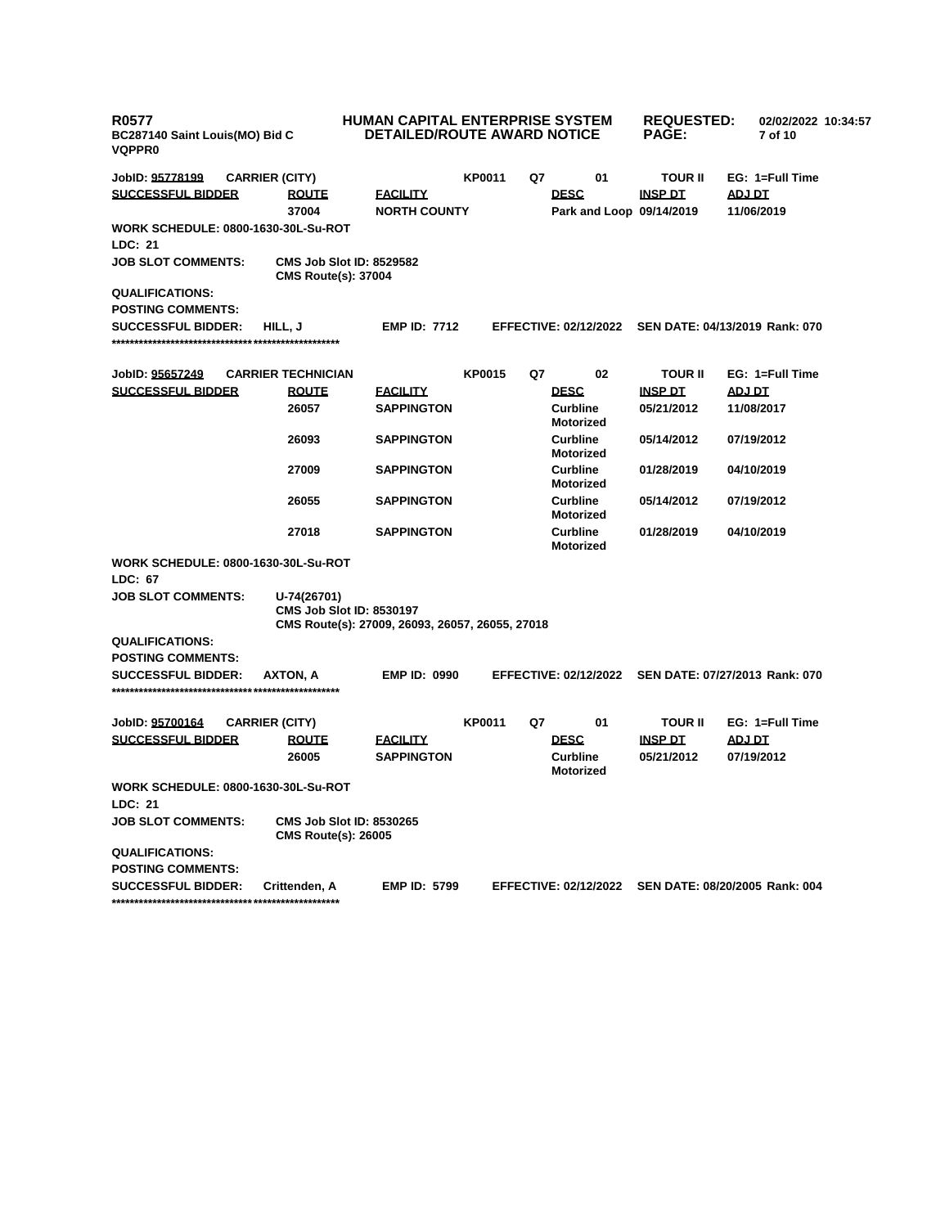| <b>R0577</b><br>BC287140 Saint Louis(MO) Bid C<br><b>VQPPR0</b> |                                                               | HUMAN CAPITAL ENTERPRISE SYSTEM<br><b>DETAILED/ROUTE AWARD NOTICE</b> |               |    | <b>REQUESTED:</b><br><b>PAGE:</b>       |                                                      | 02/02/2022 10:34:57<br>7 of 10 |                 |  |
|-----------------------------------------------------------------|---------------------------------------------------------------|-----------------------------------------------------------------------|---------------|----|-----------------------------------------|------------------------------------------------------|--------------------------------|-----------------|--|
| JobID: 95778199                                                 | <b>CARRIER (CITY)</b>                                         |                                                                       | <b>KP0011</b> | Q7 | 01                                      | <b>TOUR II</b>                                       |                                | EG: 1=Full Time |  |
| <b>SUCCESSFUL BIDDER</b>                                        | <b>ROUTE</b><br>37004                                         | <b>FACILITY</b><br><b>NORTH COUNTY</b>                                |               |    | <b>DESC</b><br>Park and Loop 09/14/2019 | <b>INSP DT</b>                                       | ADJ DT<br>11/06/2019           |                 |  |
| <b>WORK SCHEDULE: 0800-1630-30L-Su-ROT</b>                      |                                                               |                                                                       |               |    |                                         |                                                      |                                |                 |  |
| LDC: 21                                                         |                                                               |                                                                       |               |    |                                         |                                                      |                                |                 |  |
| <b>JOB SLOT COMMENTS:</b>                                       | <b>CMS Job Slot ID: 8529582</b><br><b>CMS Route(s): 37004</b> |                                                                       |               |    |                                         |                                                      |                                |                 |  |
| <b>QUALIFICATIONS:</b>                                          |                                                               |                                                                       |               |    |                                         |                                                      |                                |                 |  |
| <b>POSTING COMMENTS:</b>                                        |                                                               |                                                                       |               |    |                                         |                                                      |                                |                 |  |
| <b>SUCCESSFUL BIDDER:</b>                                       | HILL, J                                                       | <b>EMP ID: 7712</b>                                                   |               |    | <b>EFFECTIVE: 02/12/2022</b>            | SEN DATE: 04/13/2019 Rank: 070                       |                                |                 |  |
| JobID: 95657249                                                 | <b>CARRIER TECHNICIAN</b>                                     |                                                                       | <b>KP0015</b> | Q7 | 02                                      | <b>TOUR II</b>                                       |                                | EG: 1=Full Time |  |
| <b>SUCCESSFUL BIDDER</b>                                        | <b>ROUTE</b>                                                  | <u>FACILITY</u>                                                       |               |    | <b>DESC</b>                             | <b>INSP DT</b>                                       | <b>ADJ DT</b>                  |                 |  |
|                                                                 | 26057                                                         | <b>SAPPINGTON</b>                                                     |               |    | <b>Curbline</b><br><b>Motorized</b>     | 05/21/2012                                           | 11/08/2017                     |                 |  |
|                                                                 | 26093                                                         | <b>SAPPINGTON</b>                                                     |               |    | <b>Curbline</b><br><b>Motorized</b>     | 05/14/2012                                           | 07/19/2012                     |                 |  |
|                                                                 | 27009                                                         | <b>SAPPINGTON</b>                                                     |               |    | <b>Curbline</b><br><b>Motorized</b>     | 01/28/2019                                           | 04/10/2019                     |                 |  |
|                                                                 | 26055                                                         | <b>SAPPINGTON</b>                                                     |               |    | <b>Curbline</b><br><b>Motorized</b>     | 05/14/2012                                           | 07/19/2012                     |                 |  |
|                                                                 | 27018                                                         | <b>SAPPINGTON</b>                                                     |               |    | <b>Curbline</b><br><b>Motorized</b>     | 01/28/2019                                           | 04/10/2019                     |                 |  |
| <b>WORK SCHEDULE: 0800-1630-30L-Su-ROT</b>                      |                                                               |                                                                       |               |    |                                         |                                                      |                                |                 |  |
| LDC: 67                                                         |                                                               |                                                                       |               |    |                                         |                                                      |                                |                 |  |
| <b>JOB SLOT COMMENTS:</b>                                       | U-74(26701)<br><b>CMS Job Slot ID: 8530197</b>                | CMS Route(s): 27009, 26093, 26057, 26055, 27018                       |               |    |                                         |                                                      |                                |                 |  |
| <b>QUALIFICATIONS:</b>                                          |                                                               |                                                                       |               |    |                                         |                                                      |                                |                 |  |
| <b>POSTING COMMENTS:</b>                                        |                                                               |                                                                       |               |    |                                         |                                                      |                                |                 |  |
| <b>SUCCESSFUL BIDDER:</b>                                       | AXTON, A                                                      | <b>EMP ID: 0990</b>                                                   |               |    | <b>EFFECTIVE: 02/12/2022</b>            | SEN DATE: 07/27/2013 Rank: 070                       |                                |                 |  |
| JobID: 95700164                                                 | <b>CARRIER (CITY)</b>                                         |                                                                       | <b>KP0011</b> | Q7 | 01                                      | <b>TOUR II</b>                                       |                                | EG: 1=Full Time |  |
| <b>SUCCESSFUL BIDDER</b>                                        | <b>ROUTE</b>                                                  | <b>FACILITY</b>                                                       |               |    | <b>DESC</b>                             | <b>INSP DT</b>                                       | <b>ADJ DT</b>                  |                 |  |
|                                                                 | 26005                                                         | <b>SAPPINGTON</b>                                                     |               |    | <b>Curbline</b><br><b>Motorized</b>     | 05/21/2012                                           | 07/19/2012                     |                 |  |
| <b>WORK SCHEDULE: 0800-1630-30L-Su-ROT</b>                      |                                                               |                                                                       |               |    |                                         |                                                      |                                |                 |  |
| LDC: 21                                                         |                                                               |                                                                       |               |    |                                         |                                                      |                                |                 |  |
| <b>JOB SLOT COMMENTS:</b>                                       | <b>CMS Job Slot ID: 8530265</b><br><b>CMS Route(s): 26005</b> |                                                                       |               |    |                                         |                                                      |                                |                 |  |
| <b>QUALIFICATIONS:</b>                                          |                                                               |                                                                       |               |    |                                         |                                                      |                                |                 |  |
| <b>POSTING COMMENTS:</b>                                        |                                                               |                                                                       |               |    |                                         |                                                      |                                |                 |  |
| <b>SUCCESSFUL BIDDER:</b>                                       | Crittenden, A                                                 | <b>EMP ID: 5799</b>                                                   |               |    |                                         | EFFECTIVE: 02/12/2022 SEN DATE: 08/20/2005 Rank: 004 |                                |                 |  |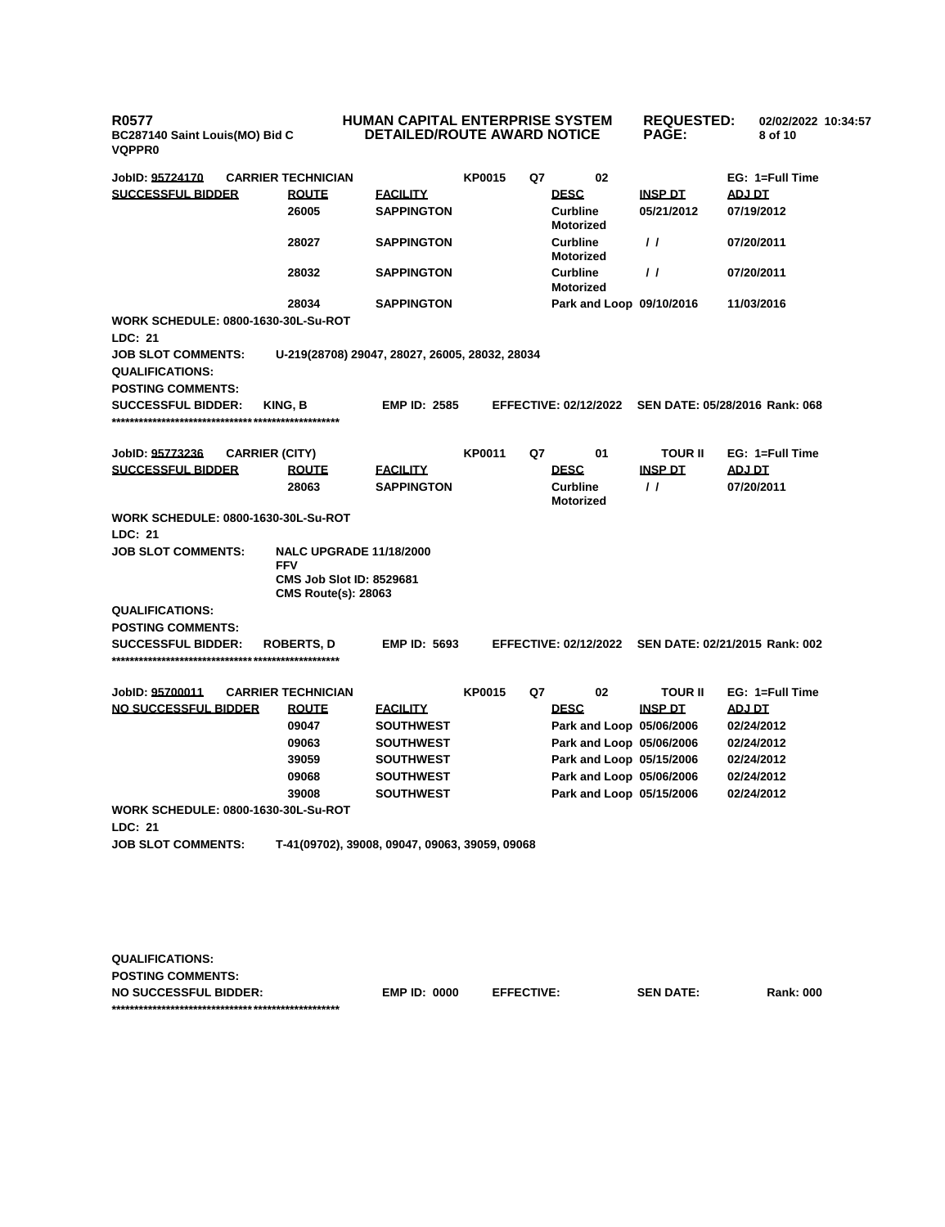**R0577 BC287140 Saint Louis(MO) Bid C VQPPR0**

## **HUMAN CAPITAL ENTERPRISE SYSTEM DETAILED/ROUTE AWARD NOTICE**

**REQUESTED: 02/02/2022 10:34:57 PAGE: 8 of 10** 

| JobID: 95724170                                       | <b>CARRIER TECHNICIAN</b>                                     |                     | <b>KP0015</b> | Q7 | 02                                  |                | EG: 1=Full Time                |
|-------------------------------------------------------|---------------------------------------------------------------|---------------------|---------------|----|-------------------------------------|----------------|--------------------------------|
| <b>SUCCESSFUL BIDDER</b>                              | <b>ROUTE</b>                                                  | <b>FACILITY</b>     |               |    | <b>DESC</b>                         | <b>INSP DT</b> | <b>ADJ DT</b>                  |
|                                                       | 26005                                                         | <b>SAPPINGTON</b>   |               |    | <b>Curbline</b><br><b>Motorized</b> | 05/21/2012     | 07/19/2012                     |
|                                                       | 28027                                                         | <b>SAPPINGTON</b>   |               |    | Curbline<br><b>Motorized</b>        | $\prime$       | 07/20/2011                     |
|                                                       | 28032                                                         | <b>SAPPINGTON</b>   |               |    | <b>Curbline</b><br><b>Motorized</b> | $\prime$       | 07/20/2011                     |
|                                                       | 28034                                                         | <b>SAPPINGTON</b>   |               |    | Park and Loop 09/10/2016            |                | 11/03/2016                     |
| <b>WORK SCHEDULE: 0800-1630-30L-Su-ROT</b>            |                                                               |                     |               |    |                                     |                |                                |
| <b>LDC: 21</b>                                        |                                                               |                     |               |    |                                     |                |                                |
| <b>JOB SLOT COMMENTS:</b><br><b>QUALIFICATIONS:</b>   | U-219(28708) 29047, 28027, 26005, 28032, 28034                |                     |               |    |                                     |                |                                |
| <b>POSTING COMMENTS:</b>                              |                                                               |                     |               |    |                                     |                |                                |
| <b>SUCCESSFUL BIDDER:</b>                             | KING, B                                                       | <b>EMP ID: 2585</b> |               |    | <b>EFFECTIVE: 02/12/2022</b>        |                | SEN DATE: 05/28/2016 Rank: 068 |
|                                                       |                                                               |                     |               |    |                                     |                |                                |
| JobID: 95773236                                       | <b>CARRIER (CITY)</b>                                         |                     | <b>KP0011</b> | Q7 | 01                                  | TOUR II        | EG: 1=Full Time                |
| <b>SUCCESSFUL BIDDER</b>                              | <b>ROUTE</b>                                                  | <b>FACILITY</b>     |               |    | <b>DESC</b>                         | <b>INSP DT</b> | ADJ DT                         |
|                                                       | 28063                                                         | <b>SAPPINGTON</b>   |               |    | <b>Curbline</b><br><b>Motorized</b> | $\frac{1}{2}$  | 07/20/2011                     |
| WORK SCHEDULE: 0800-1630-30L-Su-ROT                   |                                                               |                     |               |    |                                     |                |                                |
| <b>LDC: 21</b>                                        |                                                               |                     |               |    |                                     |                |                                |
| <b>JOB SLOT COMMENTS:</b>                             | <b>NALC UPGRADE 11/18/2000</b><br><b>FFV</b>                  |                     |               |    |                                     |                |                                |
|                                                       | <b>CMS Job Slot ID: 8529681</b><br><b>CMS Route(s): 28063</b> |                     |               |    |                                     |                |                                |
| <b>QUALIFICATIONS:</b>                                |                                                               |                     |               |    |                                     |                |                                |
| <b>POSTING COMMENTS:</b>                              |                                                               |                     |               |    |                                     |                |                                |
| <b>SUCCESSFUL BIDDER:</b>                             | <b>ROBERTS, D</b>                                             | <b>EMP ID: 5693</b> |               |    | <b>EFFECTIVE: 02/12/2022</b>        |                | SEN DATE: 02/21/2015 Rank: 002 |
|                                                       |                                                               |                     |               |    |                                     |                |                                |
| JobID: 95700011                                       | <b>CARRIER TECHNICIAN</b>                                     |                     | <b>KP0015</b> | Q7 | 02                                  | TOUR II        | EG: 1=Full Time                |
| <b>NO SUCCESSFUL BIDDER</b>                           | <b>ROUTE</b>                                                  | <b>FACILITY</b>     |               |    | <b>DESC</b>                         | <b>INSP DT</b> | <b>ADJ DT</b>                  |
|                                                       | 09047                                                         | <b>SOUTHWEST</b>    |               |    | Park and Loop 05/06/2006            |                | 02/24/2012                     |
|                                                       | 09063                                                         | <b>SOUTHWEST</b>    |               |    | Park and Loop 05/06/2006            |                | 02/24/2012                     |
|                                                       | 39059                                                         | <b>SOUTHWEST</b>    |               |    | Park and Loop 05/15/2006            |                | 02/24/2012                     |
|                                                       | 09068                                                         | <b>SOUTHWEST</b>    |               |    | Park and Loop 05/06/2006            |                | 02/24/2012                     |
|                                                       | 39008                                                         | <b>SOUTHWEST</b>    |               |    | Park and Loop 05/15/2006            |                | 02/24/2012                     |
| <b>WORK SCHEDULE: 0800-1630-30L-Su-ROT</b><br>LDC: 21 |                                                               |                     |               |    |                                     |                |                                |
| <b>JOB SLOT COMMENTS:</b>                             | T-41(09702), 39008, 09047, 09063, 39059, 09068                |                     |               |    |                                     |                |                                |
|                                                       |                                                               |                     |               |    |                                     |                |                                |
|                                                       |                                                               |                     |               |    |                                     |                |                                |
|                                                       |                                                               |                     |               |    |                                     |                |                                |
|                                                       |                                                               |                     |               |    |                                     |                |                                |

| <b>QUALIFICATIONS:</b>       |                     |                   |                  |                  |
|------------------------------|---------------------|-------------------|------------------|------------------|
| <b>POSTING COMMENTS:</b>     |                     |                   |                  |                  |
| <b>NO SUCCESSFUL BIDDER:</b> | <b>EMP ID: 0000</b> | <b>EFFECTIVE:</b> | <b>SEN DATE:</b> | <b>Rank: 000</b> |
|                              |                     |                   |                  |                  |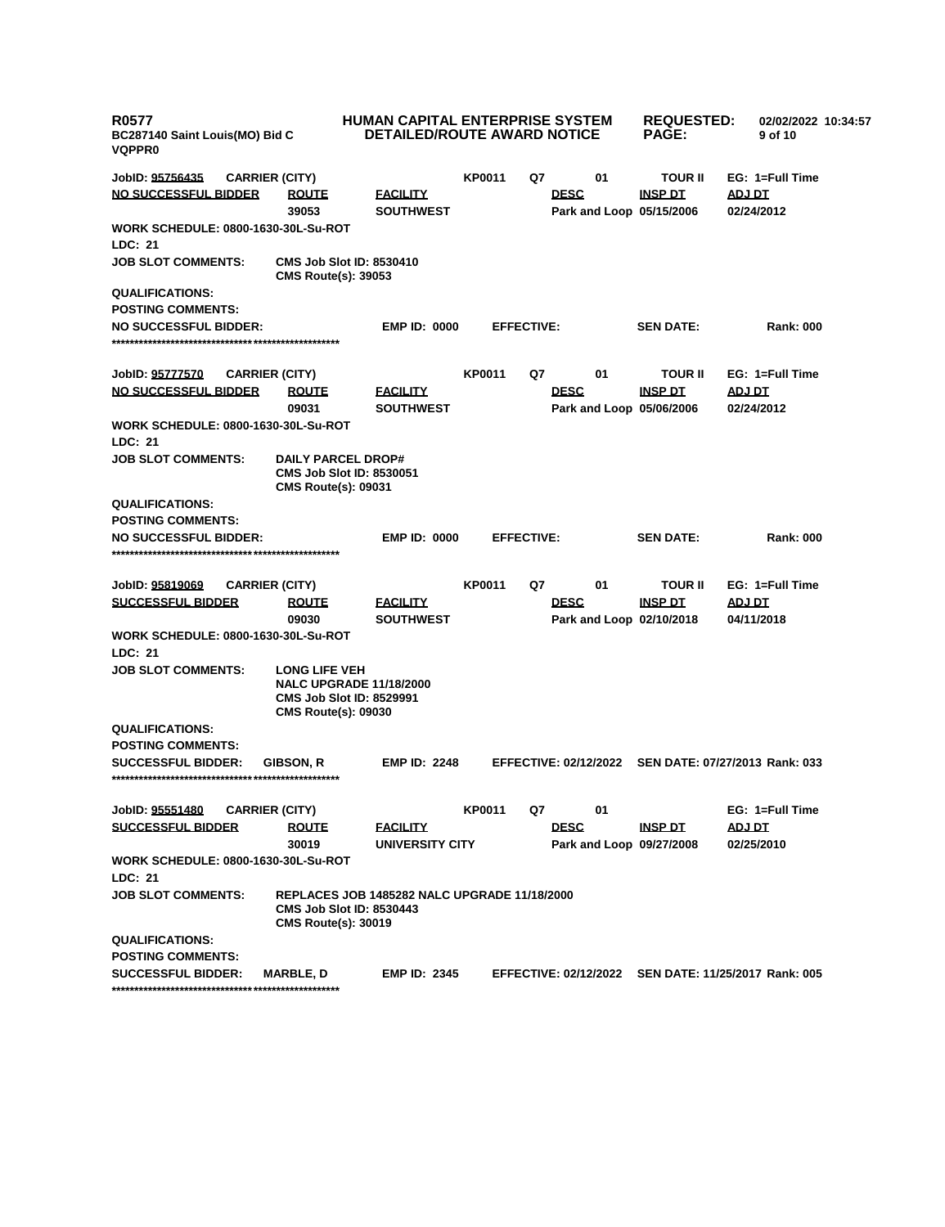| <b>KP0011</b><br>01<br><b>TOUR II</b><br>EG: 1=Full Time<br>JobID: <u>95756435</u><br><b>CARRIER (CITY)</b><br>Q7<br>NO SUCCESSFUL BIDDER<br><b>DESC</b><br><b>ROUTE</b><br><b>EACILITY</b><br><b>INSP DT</b><br>ADJ DT<br>39053<br><b>SOUTHWEST</b><br>Park and Loop 05/15/2006<br>02/24/2012<br><b>WORK SCHEDULE: 0800-1630-30L-Su-ROT</b><br><b>LDC: 21</b><br><b>JOB SLOT COMMENTS:</b><br><b>CMS Job Slot ID: 8530410</b><br><b>CMS Route(s): 39053</b><br><b>QUALIFICATIONS:</b><br><b>POSTING COMMENTS:</b><br><b>NO SUCCESSFUL BIDDER:</b><br><b>EMP ID: 0000</b><br><b>SEN DATE:</b><br><b>EFFECTIVE:</b><br><b>Rank: 000</b><br>01<br>EG: 1=Full Time<br><b>KP0011</b><br>Q7<br><b>TOUR II</b><br>JobID: 95777570<br><b>CARRIER (CITY)</b><br><b>NO SUCCESSFUL BIDDER</b><br><b>DESC</b><br><b>INSP DT</b><br><b>ROUTE</b><br><b>FACILITY</b><br><b>ADJ DT</b><br>09031<br><b>SOUTHWEST</b><br>Park and Loop 05/06/2006<br>02/24/2012<br><b>WORK SCHEDULE: 0800-1630-30L-Su-ROT</b><br><b>LDC: 21</b><br><b>JOB SLOT COMMENTS:</b><br><b>DAILY PARCEL DROP#</b><br><b>CMS Job Slot ID: 8530051</b><br><b>CMS Route(s): 09031</b><br><b>QUALIFICATIONS:</b><br><b>POSTING COMMENTS:</b><br><b>SEN DATE:</b><br><b>NO SUCCESSFUL BIDDER:</b><br><b>EMP ID: 0000</b><br><b>EFFECTIVE:</b><br><b>Rank: 000</b><br><b>KP0011</b><br>Q7<br>01<br><b>TOUR II</b><br>EG: 1=Full Time<br>JobID: 95819069<br><b>CARRIER (CITY)</b><br><b>SUCCESSFUL BIDDER</b><br><b>DESC</b><br><b>INSP DT</b><br><b>ADJ DT</b><br><b>ROUTE</b><br><b>FACILITY</b><br>09030<br><b>SOUTHWEST</b><br>Park and Loop 02/10/2018<br>04/11/2018<br><b>WORK SCHEDULE: 0800-1630-30L-Su-ROT</b><br><b>LDC: 21</b><br><b>JOB SLOT COMMENTS:</b><br><b>LONG LIFE VEH</b><br><b>NALC UPGRADE 11/18/2000</b><br><b>CMS Job Slot ID: 8529991</b><br><b>CMS Route(s): 09030</b><br><b>QUALIFICATIONS:</b><br><b>POSTING COMMENTS:</b><br><b>EMP ID: 2248</b><br><b>EFFECTIVE: 02/12/2022</b><br>SEN DATE: 07/27/2013 Rank: 033<br><b>SUCCESSFUL BIDDER:</b><br><b>GIBSON, R</b><br>Q7<br>01<br>EG: 1=Full Time<br>JobID: 95551480<br><b>CARRIER (CITY)</b><br><b>KP0011</b><br><b>SUCCESSFUL BIDDER</b><br><b>DESC</b><br><b>ROUTE</b><br><b>FACILITY</b><br><b>INSP DT</b><br>ADJ DT<br>30019<br><b>UNIVERSITY CITY</b><br>Park and Loop 09/27/2008<br>02/25/2010<br><b>WORK SCHEDULE: 0800-1630-30L-Su-ROT</b><br>LDC: 21<br><b>JOB SLOT COMMENTS:</b><br><b>REPLACES JOB 1485282 NALC UPGRADE 11/18/2000</b><br><b>CMS Job Slot ID: 8530443</b><br><b>CMS Route(s): 30019</b><br><b>QUALIFICATIONS:</b><br><b>POSTING COMMENTS:</b><br>EFFECTIVE: 02/12/2022 SEN DATE: 11/25/2017 Rank: 005<br><b>SUCCESSFUL BIDDER:</b><br><b>MARBLE, D</b><br><b>EMP ID: 2345</b> | <b>R0577</b><br>BC287140 Saint Louis(MO) Bid C<br><b>VQPPR0</b> | HUMAN CAPITAL ENTERPRISE SYSTEM | <b>DETAILED/ROUTE AWARD NOTICE</b> | <b>REQUESTED:</b><br><b>PAGE:</b> | 02/02/2022 10:34:57<br>9 of 10 |
|-------------------------------------------------------------------------------------------------------------------------------------------------------------------------------------------------------------------------------------------------------------------------------------------------------------------------------------------------------------------------------------------------------------------------------------------------------------------------------------------------------------------------------------------------------------------------------------------------------------------------------------------------------------------------------------------------------------------------------------------------------------------------------------------------------------------------------------------------------------------------------------------------------------------------------------------------------------------------------------------------------------------------------------------------------------------------------------------------------------------------------------------------------------------------------------------------------------------------------------------------------------------------------------------------------------------------------------------------------------------------------------------------------------------------------------------------------------------------------------------------------------------------------------------------------------------------------------------------------------------------------------------------------------------------------------------------------------------------------------------------------------------------------------------------------------------------------------------------------------------------------------------------------------------------------------------------------------------------------------------------------------------------------------------------------------------------------------------------------------------------------------------------------------------------------------------------------------------------------------------------------------------------------------------------------------------------------------------------------------------------------------------------------------------------------------------------------------------------------------------------------------------------------------------------------------------------------------------------------------------------------------------------------------------------------------------------------------------------------------------|-----------------------------------------------------------------|---------------------------------|------------------------------------|-----------------------------------|--------------------------------|
|                                                                                                                                                                                                                                                                                                                                                                                                                                                                                                                                                                                                                                                                                                                                                                                                                                                                                                                                                                                                                                                                                                                                                                                                                                                                                                                                                                                                                                                                                                                                                                                                                                                                                                                                                                                                                                                                                                                                                                                                                                                                                                                                                                                                                                                                                                                                                                                                                                                                                                                                                                                                                                                                                                                                           |                                                                 |                                 |                                    |                                   |                                |
|                                                                                                                                                                                                                                                                                                                                                                                                                                                                                                                                                                                                                                                                                                                                                                                                                                                                                                                                                                                                                                                                                                                                                                                                                                                                                                                                                                                                                                                                                                                                                                                                                                                                                                                                                                                                                                                                                                                                                                                                                                                                                                                                                                                                                                                                                                                                                                                                                                                                                                                                                                                                                                                                                                                                           |                                                                 |                                 |                                    |                                   |                                |
|                                                                                                                                                                                                                                                                                                                                                                                                                                                                                                                                                                                                                                                                                                                                                                                                                                                                                                                                                                                                                                                                                                                                                                                                                                                                                                                                                                                                                                                                                                                                                                                                                                                                                                                                                                                                                                                                                                                                                                                                                                                                                                                                                                                                                                                                                                                                                                                                                                                                                                                                                                                                                                                                                                                                           |                                                                 |                                 |                                    |                                   |                                |
|                                                                                                                                                                                                                                                                                                                                                                                                                                                                                                                                                                                                                                                                                                                                                                                                                                                                                                                                                                                                                                                                                                                                                                                                                                                                                                                                                                                                                                                                                                                                                                                                                                                                                                                                                                                                                                                                                                                                                                                                                                                                                                                                                                                                                                                                                                                                                                                                                                                                                                                                                                                                                                                                                                                                           |                                                                 |                                 |                                    |                                   |                                |
|                                                                                                                                                                                                                                                                                                                                                                                                                                                                                                                                                                                                                                                                                                                                                                                                                                                                                                                                                                                                                                                                                                                                                                                                                                                                                                                                                                                                                                                                                                                                                                                                                                                                                                                                                                                                                                                                                                                                                                                                                                                                                                                                                                                                                                                                                                                                                                                                                                                                                                                                                                                                                                                                                                                                           |                                                                 |                                 |                                    |                                   |                                |
|                                                                                                                                                                                                                                                                                                                                                                                                                                                                                                                                                                                                                                                                                                                                                                                                                                                                                                                                                                                                                                                                                                                                                                                                                                                                                                                                                                                                                                                                                                                                                                                                                                                                                                                                                                                                                                                                                                                                                                                                                                                                                                                                                                                                                                                                                                                                                                                                                                                                                                                                                                                                                                                                                                                                           |                                                                 |                                 |                                    |                                   |                                |
|                                                                                                                                                                                                                                                                                                                                                                                                                                                                                                                                                                                                                                                                                                                                                                                                                                                                                                                                                                                                                                                                                                                                                                                                                                                                                                                                                                                                                                                                                                                                                                                                                                                                                                                                                                                                                                                                                                                                                                                                                                                                                                                                                                                                                                                                                                                                                                                                                                                                                                                                                                                                                                                                                                                                           |                                                                 |                                 |                                    |                                   |                                |
|                                                                                                                                                                                                                                                                                                                                                                                                                                                                                                                                                                                                                                                                                                                                                                                                                                                                                                                                                                                                                                                                                                                                                                                                                                                                                                                                                                                                                                                                                                                                                                                                                                                                                                                                                                                                                                                                                                                                                                                                                                                                                                                                                                                                                                                                                                                                                                                                                                                                                                                                                                                                                                                                                                                                           |                                                                 |                                 |                                    |                                   |                                |
|                                                                                                                                                                                                                                                                                                                                                                                                                                                                                                                                                                                                                                                                                                                                                                                                                                                                                                                                                                                                                                                                                                                                                                                                                                                                                                                                                                                                                                                                                                                                                                                                                                                                                                                                                                                                                                                                                                                                                                                                                                                                                                                                                                                                                                                                                                                                                                                                                                                                                                                                                                                                                                                                                                                                           |                                                                 |                                 |                                    |                                   |                                |
|                                                                                                                                                                                                                                                                                                                                                                                                                                                                                                                                                                                                                                                                                                                                                                                                                                                                                                                                                                                                                                                                                                                                                                                                                                                                                                                                                                                                                                                                                                                                                                                                                                                                                                                                                                                                                                                                                                                                                                                                                                                                                                                                                                                                                                                                                                                                                                                                                                                                                                                                                                                                                                                                                                                                           |                                                                 |                                 |                                    |                                   |                                |
|                                                                                                                                                                                                                                                                                                                                                                                                                                                                                                                                                                                                                                                                                                                                                                                                                                                                                                                                                                                                                                                                                                                                                                                                                                                                                                                                                                                                                                                                                                                                                                                                                                                                                                                                                                                                                                                                                                                                                                                                                                                                                                                                                                                                                                                                                                                                                                                                                                                                                                                                                                                                                                                                                                                                           |                                                                 |                                 |                                    |                                   |                                |
|                                                                                                                                                                                                                                                                                                                                                                                                                                                                                                                                                                                                                                                                                                                                                                                                                                                                                                                                                                                                                                                                                                                                                                                                                                                                                                                                                                                                                                                                                                                                                                                                                                                                                                                                                                                                                                                                                                                                                                                                                                                                                                                                                                                                                                                                                                                                                                                                                                                                                                                                                                                                                                                                                                                                           |                                                                 |                                 |                                    |                                   |                                |
|                                                                                                                                                                                                                                                                                                                                                                                                                                                                                                                                                                                                                                                                                                                                                                                                                                                                                                                                                                                                                                                                                                                                                                                                                                                                                                                                                                                                                                                                                                                                                                                                                                                                                                                                                                                                                                                                                                                                                                                                                                                                                                                                                                                                                                                                                                                                                                                                                                                                                                                                                                                                                                                                                                                                           |                                                                 |                                 |                                    |                                   |                                |
|                                                                                                                                                                                                                                                                                                                                                                                                                                                                                                                                                                                                                                                                                                                                                                                                                                                                                                                                                                                                                                                                                                                                                                                                                                                                                                                                                                                                                                                                                                                                                                                                                                                                                                                                                                                                                                                                                                                                                                                                                                                                                                                                                                                                                                                                                                                                                                                                                                                                                                                                                                                                                                                                                                                                           |                                                                 |                                 |                                    |                                   |                                |
|                                                                                                                                                                                                                                                                                                                                                                                                                                                                                                                                                                                                                                                                                                                                                                                                                                                                                                                                                                                                                                                                                                                                                                                                                                                                                                                                                                                                                                                                                                                                                                                                                                                                                                                                                                                                                                                                                                                                                                                                                                                                                                                                                                                                                                                                                                                                                                                                                                                                                                                                                                                                                                                                                                                                           |                                                                 |                                 |                                    |                                   |                                |
|                                                                                                                                                                                                                                                                                                                                                                                                                                                                                                                                                                                                                                                                                                                                                                                                                                                                                                                                                                                                                                                                                                                                                                                                                                                                                                                                                                                                                                                                                                                                                                                                                                                                                                                                                                                                                                                                                                                                                                                                                                                                                                                                                                                                                                                                                                                                                                                                                                                                                                                                                                                                                                                                                                                                           |                                                                 |                                 |                                    |                                   |                                |
|                                                                                                                                                                                                                                                                                                                                                                                                                                                                                                                                                                                                                                                                                                                                                                                                                                                                                                                                                                                                                                                                                                                                                                                                                                                                                                                                                                                                                                                                                                                                                                                                                                                                                                                                                                                                                                                                                                                                                                                                                                                                                                                                                                                                                                                                                                                                                                                                                                                                                                                                                                                                                                                                                                                                           |                                                                 |                                 |                                    |                                   |                                |
|                                                                                                                                                                                                                                                                                                                                                                                                                                                                                                                                                                                                                                                                                                                                                                                                                                                                                                                                                                                                                                                                                                                                                                                                                                                                                                                                                                                                                                                                                                                                                                                                                                                                                                                                                                                                                                                                                                                                                                                                                                                                                                                                                                                                                                                                                                                                                                                                                                                                                                                                                                                                                                                                                                                                           |                                                                 |                                 |                                    |                                   |                                |
|                                                                                                                                                                                                                                                                                                                                                                                                                                                                                                                                                                                                                                                                                                                                                                                                                                                                                                                                                                                                                                                                                                                                                                                                                                                                                                                                                                                                                                                                                                                                                                                                                                                                                                                                                                                                                                                                                                                                                                                                                                                                                                                                                                                                                                                                                                                                                                                                                                                                                                                                                                                                                                                                                                                                           |                                                                 |                                 |                                    |                                   |                                |
|                                                                                                                                                                                                                                                                                                                                                                                                                                                                                                                                                                                                                                                                                                                                                                                                                                                                                                                                                                                                                                                                                                                                                                                                                                                                                                                                                                                                                                                                                                                                                                                                                                                                                                                                                                                                                                                                                                                                                                                                                                                                                                                                                                                                                                                                                                                                                                                                                                                                                                                                                                                                                                                                                                                                           |                                                                 |                                 |                                    |                                   |                                |
|                                                                                                                                                                                                                                                                                                                                                                                                                                                                                                                                                                                                                                                                                                                                                                                                                                                                                                                                                                                                                                                                                                                                                                                                                                                                                                                                                                                                                                                                                                                                                                                                                                                                                                                                                                                                                                                                                                                                                                                                                                                                                                                                                                                                                                                                                                                                                                                                                                                                                                                                                                                                                                                                                                                                           |                                                                 |                                 |                                    |                                   |                                |
|                                                                                                                                                                                                                                                                                                                                                                                                                                                                                                                                                                                                                                                                                                                                                                                                                                                                                                                                                                                                                                                                                                                                                                                                                                                                                                                                                                                                                                                                                                                                                                                                                                                                                                                                                                                                                                                                                                                                                                                                                                                                                                                                                                                                                                                                                                                                                                                                                                                                                                                                                                                                                                                                                                                                           |                                                                 |                                 |                                    |                                   |                                |
|                                                                                                                                                                                                                                                                                                                                                                                                                                                                                                                                                                                                                                                                                                                                                                                                                                                                                                                                                                                                                                                                                                                                                                                                                                                                                                                                                                                                                                                                                                                                                                                                                                                                                                                                                                                                                                                                                                                                                                                                                                                                                                                                                                                                                                                                                                                                                                                                                                                                                                                                                                                                                                                                                                                                           |                                                                 |                                 |                                    |                                   |                                |
|                                                                                                                                                                                                                                                                                                                                                                                                                                                                                                                                                                                                                                                                                                                                                                                                                                                                                                                                                                                                                                                                                                                                                                                                                                                                                                                                                                                                                                                                                                                                                                                                                                                                                                                                                                                                                                                                                                                                                                                                                                                                                                                                                                                                                                                                                                                                                                                                                                                                                                                                                                                                                                                                                                                                           |                                                                 |                                 |                                    |                                   |                                |
|                                                                                                                                                                                                                                                                                                                                                                                                                                                                                                                                                                                                                                                                                                                                                                                                                                                                                                                                                                                                                                                                                                                                                                                                                                                                                                                                                                                                                                                                                                                                                                                                                                                                                                                                                                                                                                                                                                                                                                                                                                                                                                                                                                                                                                                                                                                                                                                                                                                                                                                                                                                                                                                                                                                                           |                                                                 |                                 |                                    |                                   |                                |
|                                                                                                                                                                                                                                                                                                                                                                                                                                                                                                                                                                                                                                                                                                                                                                                                                                                                                                                                                                                                                                                                                                                                                                                                                                                                                                                                                                                                                                                                                                                                                                                                                                                                                                                                                                                                                                                                                                                                                                                                                                                                                                                                                                                                                                                                                                                                                                                                                                                                                                                                                                                                                                                                                                                                           |                                                                 |                                 |                                    |                                   |                                |
|                                                                                                                                                                                                                                                                                                                                                                                                                                                                                                                                                                                                                                                                                                                                                                                                                                                                                                                                                                                                                                                                                                                                                                                                                                                                                                                                                                                                                                                                                                                                                                                                                                                                                                                                                                                                                                                                                                                                                                                                                                                                                                                                                                                                                                                                                                                                                                                                                                                                                                                                                                                                                                                                                                                                           |                                                                 |                                 |                                    |                                   |                                |
|                                                                                                                                                                                                                                                                                                                                                                                                                                                                                                                                                                                                                                                                                                                                                                                                                                                                                                                                                                                                                                                                                                                                                                                                                                                                                                                                                                                                                                                                                                                                                                                                                                                                                                                                                                                                                                                                                                                                                                                                                                                                                                                                                                                                                                                                                                                                                                                                                                                                                                                                                                                                                                                                                                                                           |                                                                 |                                 |                                    |                                   |                                |
|                                                                                                                                                                                                                                                                                                                                                                                                                                                                                                                                                                                                                                                                                                                                                                                                                                                                                                                                                                                                                                                                                                                                                                                                                                                                                                                                                                                                                                                                                                                                                                                                                                                                                                                                                                                                                                                                                                                                                                                                                                                                                                                                                                                                                                                                                                                                                                                                                                                                                                                                                                                                                                                                                                                                           |                                                                 |                                 |                                    |                                   |                                |
|                                                                                                                                                                                                                                                                                                                                                                                                                                                                                                                                                                                                                                                                                                                                                                                                                                                                                                                                                                                                                                                                                                                                                                                                                                                                                                                                                                                                                                                                                                                                                                                                                                                                                                                                                                                                                                                                                                                                                                                                                                                                                                                                                                                                                                                                                                                                                                                                                                                                                                                                                                                                                                                                                                                                           |                                                                 |                                 |                                    |                                   |                                |
|                                                                                                                                                                                                                                                                                                                                                                                                                                                                                                                                                                                                                                                                                                                                                                                                                                                                                                                                                                                                                                                                                                                                                                                                                                                                                                                                                                                                                                                                                                                                                                                                                                                                                                                                                                                                                                                                                                                                                                                                                                                                                                                                                                                                                                                                                                                                                                                                                                                                                                                                                                                                                                                                                                                                           |                                                                 |                                 |                                    |                                   |                                |
|                                                                                                                                                                                                                                                                                                                                                                                                                                                                                                                                                                                                                                                                                                                                                                                                                                                                                                                                                                                                                                                                                                                                                                                                                                                                                                                                                                                                                                                                                                                                                                                                                                                                                                                                                                                                                                                                                                                                                                                                                                                                                                                                                                                                                                                                                                                                                                                                                                                                                                                                                                                                                                                                                                                                           |                                                                 |                                 |                                    |                                   |                                |
|                                                                                                                                                                                                                                                                                                                                                                                                                                                                                                                                                                                                                                                                                                                                                                                                                                                                                                                                                                                                                                                                                                                                                                                                                                                                                                                                                                                                                                                                                                                                                                                                                                                                                                                                                                                                                                                                                                                                                                                                                                                                                                                                                                                                                                                                                                                                                                                                                                                                                                                                                                                                                                                                                                                                           |                                                                 |                                 |                                    |                                   |                                |
|                                                                                                                                                                                                                                                                                                                                                                                                                                                                                                                                                                                                                                                                                                                                                                                                                                                                                                                                                                                                                                                                                                                                                                                                                                                                                                                                                                                                                                                                                                                                                                                                                                                                                                                                                                                                                                                                                                                                                                                                                                                                                                                                                                                                                                                                                                                                                                                                                                                                                                                                                                                                                                                                                                                                           |                                                                 |                                 |                                    |                                   |                                |
|                                                                                                                                                                                                                                                                                                                                                                                                                                                                                                                                                                                                                                                                                                                                                                                                                                                                                                                                                                                                                                                                                                                                                                                                                                                                                                                                                                                                                                                                                                                                                                                                                                                                                                                                                                                                                                                                                                                                                                                                                                                                                                                                                                                                                                                                                                                                                                                                                                                                                                                                                                                                                                                                                                                                           |                                                                 |                                 |                                    |                                   |                                |
|                                                                                                                                                                                                                                                                                                                                                                                                                                                                                                                                                                                                                                                                                                                                                                                                                                                                                                                                                                                                                                                                                                                                                                                                                                                                                                                                                                                                                                                                                                                                                                                                                                                                                                                                                                                                                                                                                                                                                                                                                                                                                                                                                                                                                                                                                                                                                                                                                                                                                                                                                                                                                                                                                                                                           |                                                                 |                                 |                                    |                                   |                                |
|                                                                                                                                                                                                                                                                                                                                                                                                                                                                                                                                                                                                                                                                                                                                                                                                                                                                                                                                                                                                                                                                                                                                                                                                                                                                                                                                                                                                                                                                                                                                                                                                                                                                                                                                                                                                                                                                                                                                                                                                                                                                                                                                                                                                                                                                                                                                                                                                                                                                                                                                                                                                                                                                                                                                           |                                                                 |                                 |                                    |                                   |                                |